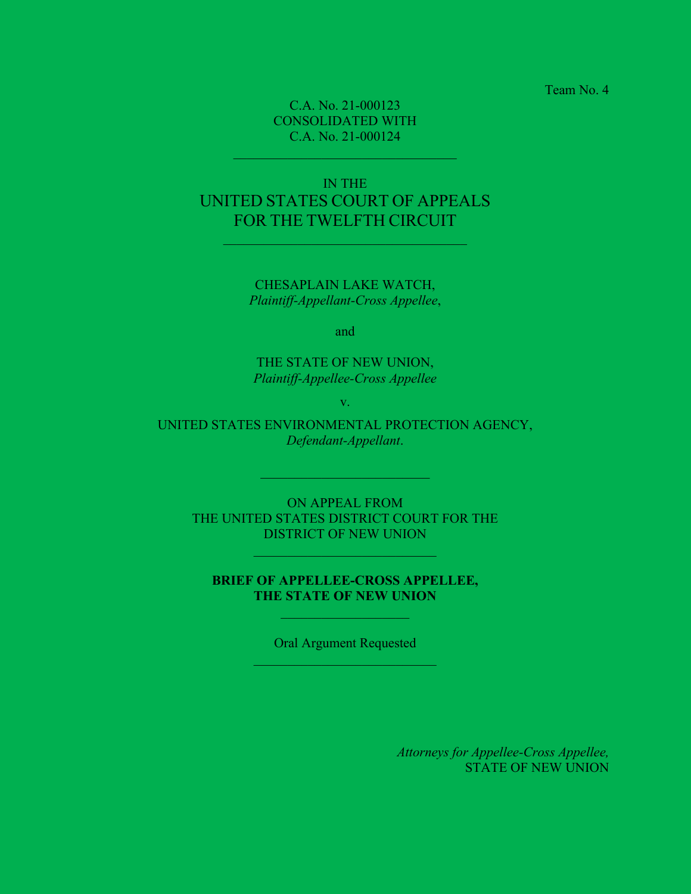Team No. 4

C.A. No. 21-000123 CONSOLIDATED WITH C.A. No. 21-000124

# IN THE UNITED STATES COURT OF APPEALS FOR THE TWELFTH CIRCUIT

CHESAPLAIN LAKE WATCH, *Plaintiff-Appellant-Cross Appellee*,

and

THE STATE OF NEW UNION, *Plaintiff-Appellee-Cross Appellee*

v.

UNITED STATES ENVIRONMENTAL PROTECTION AGENCY, *Defendant-Appellant*.

 $\mathcal{L}_\text{max}$  and  $\mathcal{L}_\text{max}$  and  $\mathcal{L}_\text{max}$ 

ON APPEAL FROM THE UNITED STATES DISTRICT COURT FOR THE DISTRICT OF NEW UNION

### **BRIEF OF APPELLEE-CROSS APPELLEE, THE STATE OF NEW UNION**

Oral Argument Requested

*Attorneys for Appellee-Cross Appellee,* STATE OF NEW UNION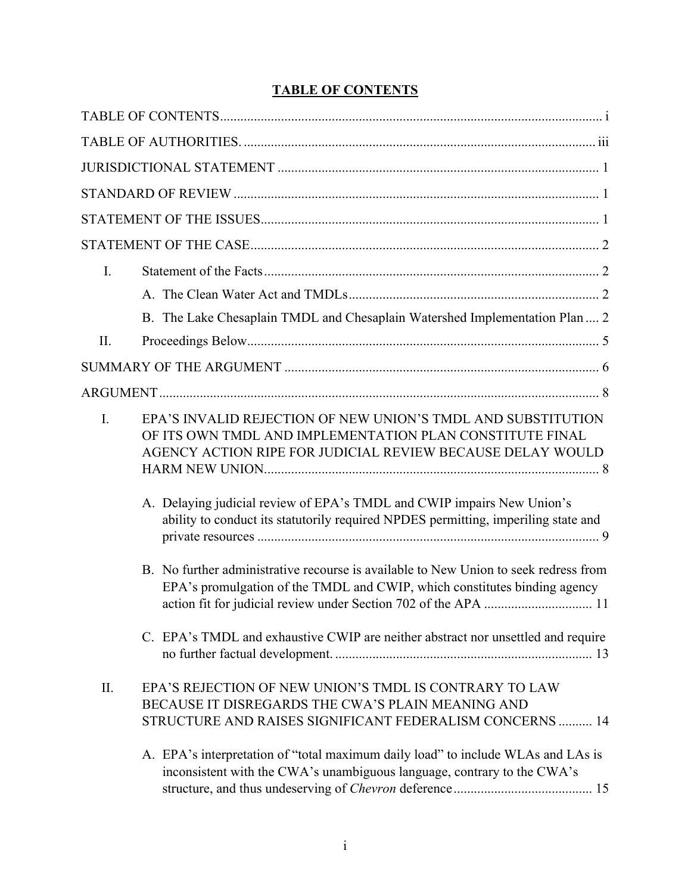# **TABLE OF CONTENTS**

| I.  |                                                                                                                                                                                        |
|-----|----------------------------------------------------------------------------------------------------------------------------------------------------------------------------------------|
|     |                                                                                                                                                                                        |
|     | B. The Lake Chesaplain TMDL and Chesaplain Watershed Implementation Plan  2                                                                                                            |
| II. |                                                                                                                                                                                        |
|     |                                                                                                                                                                                        |
|     |                                                                                                                                                                                        |
| I.  | EPA'S INVALID REJECTION OF NEW UNION'S TMDL AND SUBSTITUTION<br>OF ITS OWN TMDL AND IMPLEMENTATION PLAN CONSTITUTE FINAL<br>AGENCY ACTION RIPE FOR JUDICIAL REVIEW BECAUSE DELAY WOULD |
|     | A. Delaying judicial review of EPA's TMDL and CWIP impairs New Union's<br>ability to conduct its statutorily required NPDES permitting, imperiling state and                           |
|     | B. No further administrative recourse is available to New Union to seek redress from<br>EPA's promulgation of the TMDL and CWIP, which constitutes binding agency                      |
|     | C. EPA's TMDL and exhaustive CWIP are neither abstract nor unsettled and require                                                                                                       |
| II. | EPA'S REJECTION OF NEW UNION'S TMDL IS CONTRARY TO LAW<br>BECAUSE IT DISREGARDS THE CWA'S PLAIN MEANING AND<br>STRUCTURE AND RAISES SIGNIFICANT FEDERALISM CONCERNS  14                |
|     | A. EPA's interpretation of "total maximum daily load" to include WLAs and LAs is<br>inconsistent with the CWA's unambiguous language, contrary to the CWA's                            |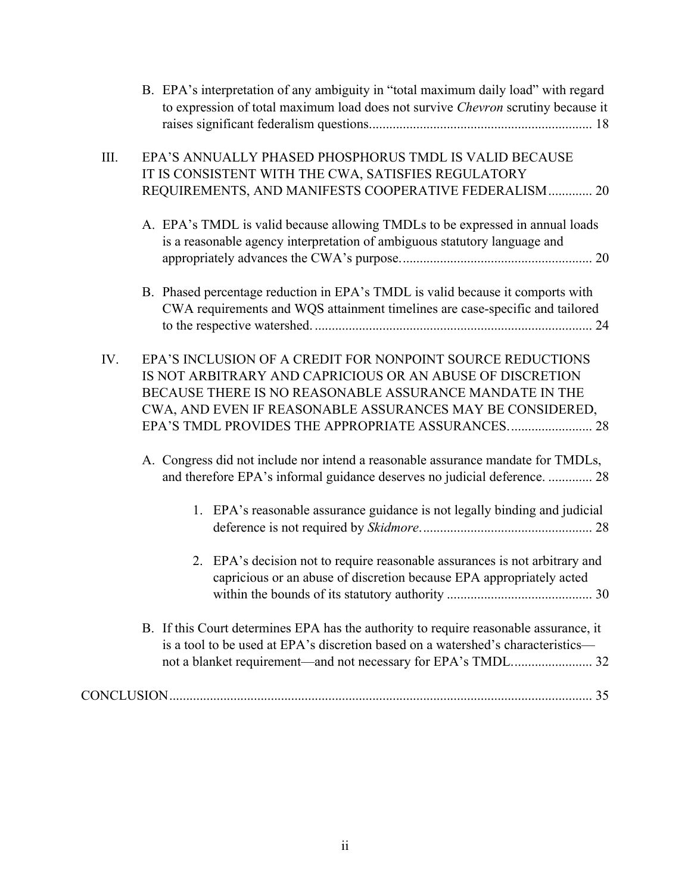|      | B. EPA's interpretation of any ambiguity in "total maximum daily load" with regard<br>to expression of total maximum load does not survive Chevron scrutiny because it                                                                                                                               |
|------|------------------------------------------------------------------------------------------------------------------------------------------------------------------------------------------------------------------------------------------------------------------------------------------------------|
| III. | EPA'S ANNUALLY PHASED PHOSPHORUS TMDL IS VALID BECAUSE<br>IT IS CONSISTENT WITH THE CWA, SATISFIES REGULATORY<br>REQUIREMENTS, AND MANIFESTS COOPERATIVE FEDERALISM  20                                                                                                                              |
|      | A. EPA's TMDL is valid because allowing TMDLs to be expressed in annual loads<br>is a reasonable agency interpretation of ambiguous statutory language and                                                                                                                                           |
|      | B. Phased percentage reduction in EPA's TMDL is valid because it comports with<br>CWA requirements and WQS attainment timelines are case-specific and tailored                                                                                                                                       |
| IV.  | EPA'S INCLUSION OF A CREDIT FOR NONPOINT SOURCE REDUCTIONS<br>IS NOT ARBITRARY AND CAPRICIOUS OR AN ABUSE OF DISCRETION<br>BECAUSE THERE IS NO REASONABLE ASSURANCE MANDATE IN THE<br>CWA, AND EVEN IF REASONABLE ASSURANCES MAY BE CONSIDERED,<br>EPA'S TMDL PROVIDES THE APPROPRIATE ASSURANCES 28 |
|      | A. Congress did not include nor intend a reasonable assurance mandate for TMDLs,<br>and therefore EPA's informal guidance deserves no judicial deference.  28                                                                                                                                        |
|      | 1. EPA's reasonable assurance guidance is not legally binding and judicial                                                                                                                                                                                                                           |
|      | EPA's decision not to require reasonable assurances is not arbitrary and<br>2.<br>capricious or an abuse of discretion because EPA appropriately acted                                                                                                                                               |
|      | B. If this Court determines EPA has the authority to require reasonable assurance, it<br>is a tool to be used at EPA's discretion based on a watershed's characteristics—<br>not a blanket requirement—and not necessary for EPA's TMDL 32                                                           |
|      |                                                                                                                                                                                                                                                                                                      |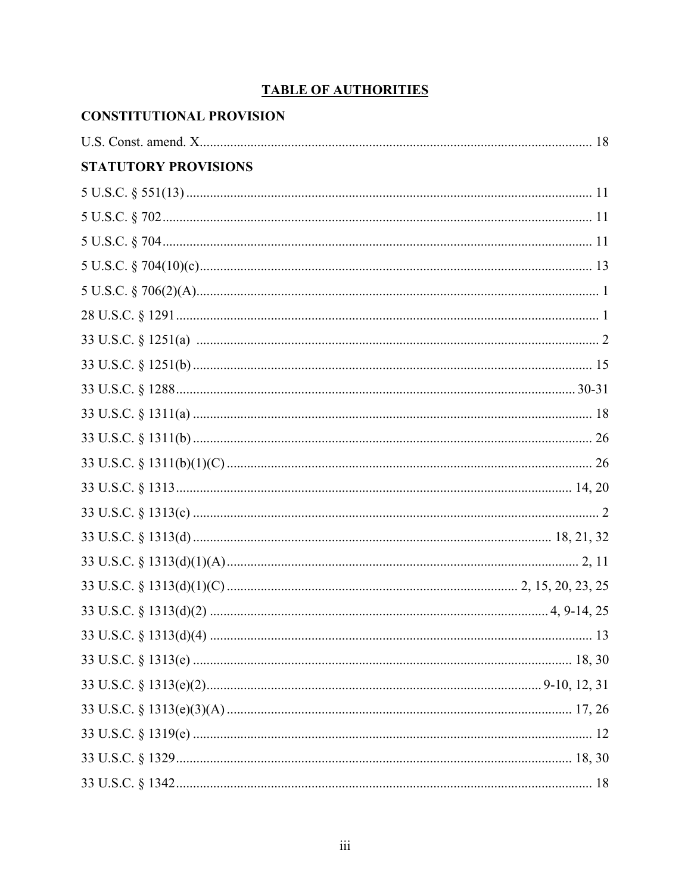# **TABLE OF AUTHORITIES**

| <b>CONSTITUTIONAL PROVISION</b> |  |
|---------------------------------|--|
|                                 |  |
| <b>STATUTORY PROVISIONS</b>     |  |
|                                 |  |
|                                 |  |
|                                 |  |
|                                 |  |
|                                 |  |
|                                 |  |
|                                 |  |
|                                 |  |
|                                 |  |
|                                 |  |
|                                 |  |
|                                 |  |
|                                 |  |
|                                 |  |
|                                 |  |
|                                 |  |
|                                 |  |
|                                 |  |
|                                 |  |
|                                 |  |
|                                 |  |
|                                 |  |
|                                 |  |
|                                 |  |
|                                 |  |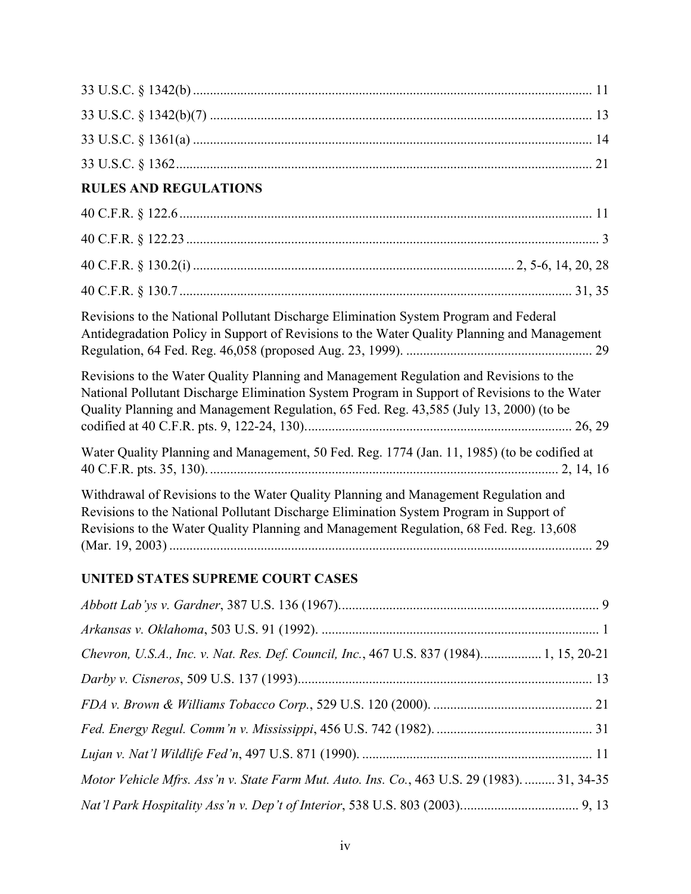| <b>RULES AND REGULATIONS</b>                                                                                                                                                                                                                                                     |
|----------------------------------------------------------------------------------------------------------------------------------------------------------------------------------------------------------------------------------------------------------------------------------|
|                                                                                                                                                                                                                                                                                  |
|                                                                                                                                                                                                                                                                                  |
|                                                                                                                                                                                                                                                                                  |
|                                                                                                                                                                                                                                                                                  |
| Revisions to the National Pollutant Discharge Elimination System Program and Federal<br>Antidegradation Policy in Support of Revisions to the Water Quality Planning and Management                                                                                              |
| Revisions to the Water Quality Planning and Management Regulation and Revisions to the<br>National Pollutant Discharge Elimination System Program in Support of Revisions to the Water<br>Quality Planning and Management Regulation, 65 Fed. Reg. 43,585 (July 13, 2000) (to be |
| Water Quality Planning and Management, 50 Fed. Reg. 1774 (Jan. 11, 1985) (to be codified at                                                                                                                                                                                      |
| Withdrawal of Revisions to the Water Quality Planning and Management Regulation and<br>Revisions to the National Pollutant Discharge Elimination System Program in Support of<br>Revisions to the Water Quality Planning and Management Regulation, 68 Fed. Reg. 13,608          |

# **UNITED STATES SUPREME COURT CASES**

| Chevron, U.S.A., Inc. v. Nat. Res. Def. Council, Inc., 467 U.S. 837 (1984) 1, 15, 20-21     |  |
|---------------------------------------------------------------------------------------------|--|
|                                                                                             |  |
|                                                                                             |  |
|                                                                                             |  |
|                                                                                             |  |
| Motor Vehicle Mfrs. Ass'n v. State Farm Mut. Auto. Ins. Co., 463 U.S. 29 (1983).  31, 34-35 |  |
|                                                                                             |  |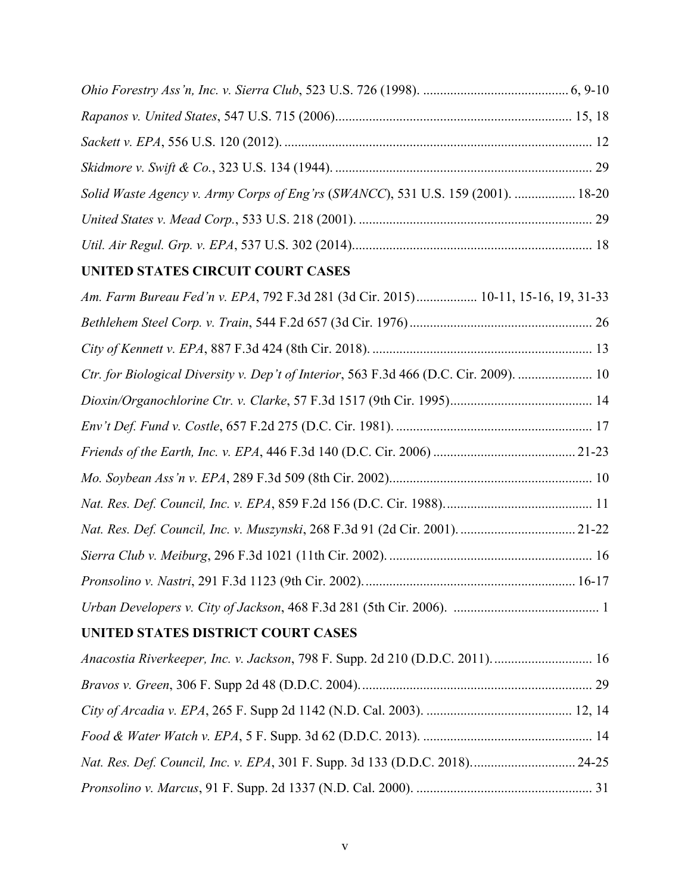| Solid Waste Agency v. Army Corps of Eng'rs (SWANCC), 531 U.S. 159 (2001).  18-20 |  |
|----------------------------------------------------------------------------------|--|
|                                                                                  |  |
|                                                                                  |  |

# **UNITED STATES CIRCUIT COURT CASES**

| Am. Farm Bureau Fed'n v. EPA, 792 F.3d 281 (3d Cir. 2015) 10-11, 15-16, 19, 31-33      |
|----------------------------------------------------------------------------------------|
|                                                                                        |
|                                                                                        |
| Ctr. for Biological Diversity v. Dep't of Interior, 563 F.3d 466 (D.C. Cir. 2009).  10 |
|                                                                                        |
|                                                                                        |
|                                                                                        |
|                                                                                        |
|                                                                                        |
|                                                                                        |
|                                                                                        |
|                                                                                        |
|                                                                                        |
| UNITED STATES DISTRICT COURT CASES                                                     |
| Anacostia Riverkeeper, Inc. v. Jackson, 798 F. Supp. 2d 210 (D.D.C. 2011).  16         |
|                                                                                        |
|                                                                                        |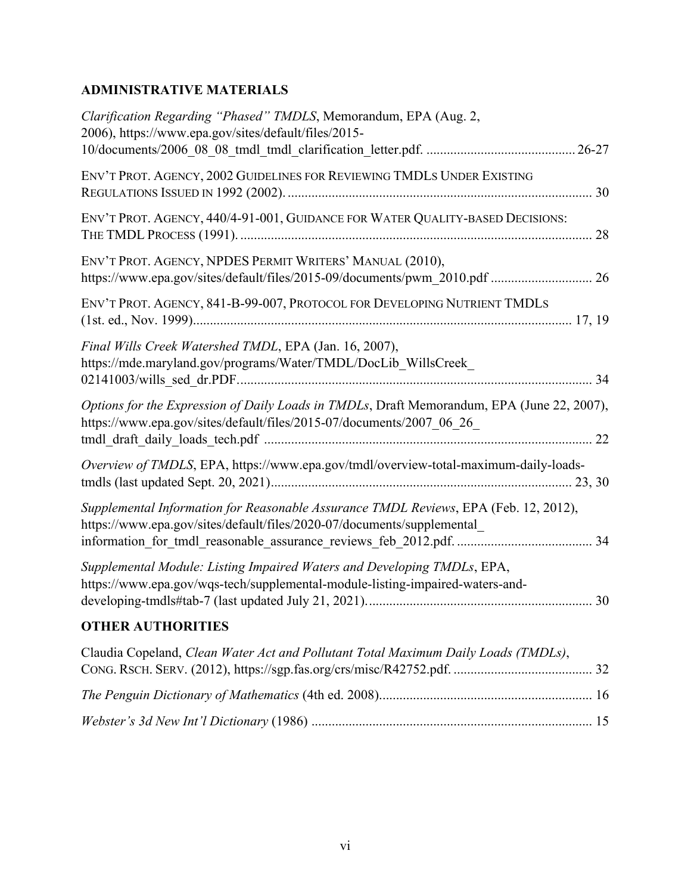# **ADMINISTRATIVE MATERIALS**

| Clarification Regarding "Phased" TMDLS, Memorandum, EPA (Aug. 2,<br>2006), https://www.epa.gov/sites/default/files/2015-                                            |
|---------------------------------------------------------------------------------------------------------------------------------------------------------------------|
|                                                                                                                                                                     |
| ENV'T PROT. AGENCY, 2002 GUIDELINES FOR REVIEWING TMDLS UNDER EXISTING                                                                                              |
| ENV'T PROT. AGENCY, 440/4-91-001, GUIDANCE FOR WATER QUALITY-BASED DECISIONS:<br>28                                                                                 |
| ENV'T PROT. AGENCY, NPDES PERMIT WRITERS' MANUAL (2010),<br>https://www.epa.gov/sites/default/files/2015-09/documents/pwm_2010.pdf  26                              |
| ENV'T PROT. AGENCY, 841-B-99-007, PROTOCOL FOR DEVELOPING NUTRIENT TMDLS                                                                                            |
| Final Wills Creek Watershed TMDL, EPA (Jan. 16, 2007),<br>https://mde.maryland.gov/programs/Water/TMDL/DocLib_WillsCreek_                                           |
| Options for the Expression of Daily Loads in TMDLs, Draft Memorandum, EPA (June 22, 2007),<br>https://www.epa.gov/sites/default/files/2015-07/documents/2007_06_26_ |
| Overview of TMDLS, EPA, https://www.epa.gov/tmdl/overview-total-maximum-daily-loads-                                                                                |
| Supplemental Information for Reasonable Assurance TMDL Reviews, EPA (Feb. 12, 2012),<br>https://www.epa.gov/sites/default/files/2020-07/documents/supplemental      |
| Supplemental Module: Listing Impaired Waters and Developing TMDLs, EPA,<br>https://www.epa.gov/wqs-tech/supplemental-module-listing-impaired-waters-and-            |
| <b>OTHER AUTHORITIES</b>                                                                                                                                            |
| Claudia Copeland, Clean Water Act and Pollutant Total Maximum Daily Loads (TMDLs),                                                                                  |
|                                                                                                                                                                     |

*Webster's 3d New Int'l Dictionary* (1986) ................................................................................... 15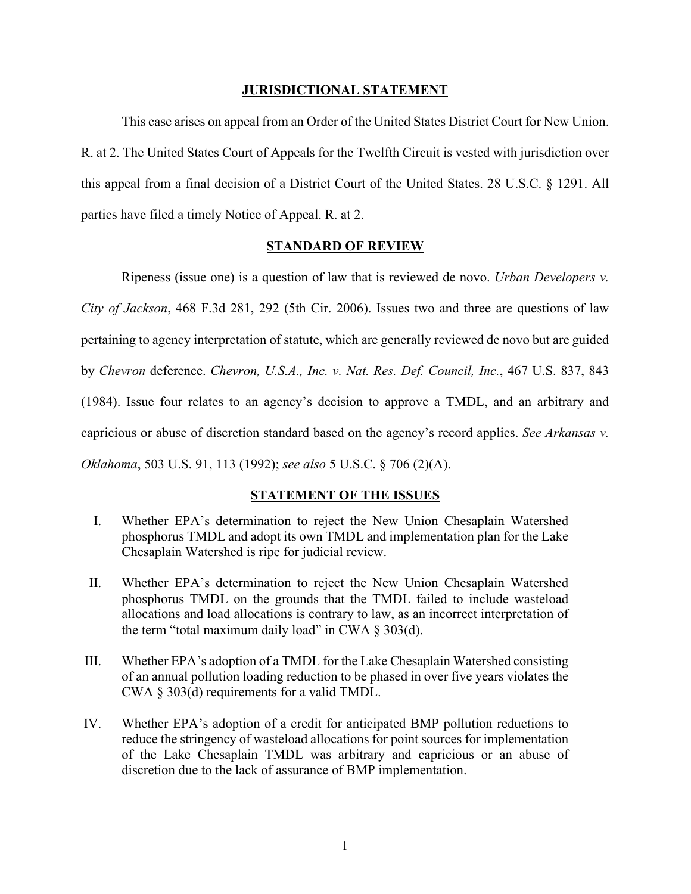#### **JURISDICTIONAL STATEMENT**

This case arises on appeal from an Order of the United States District Court for New Union. R. at 2. The United States Court of Appeals for the Twelfth Circuit is vested with jurisdiction over this appeal from a final decision of a District Court of the United States. 28 U.S.C. § 1291. All parties have filed a timely Notice of Appeal. R. at 2.

#### **STANDARD OF REVIEW**

Ripeness (issue one) is a question of law that is reviewed de novo. *Urban Developers v. City of Jackson*, 468 F.3d 281, 292 (5th Cir. 2006). Issues two and three are questions of law pertaining to agency interpretation of statute, which are generally reviewed de novo but are guided by *Chevron* deference. *Chevron, U.S.A., Inc. v. Nat. Res. Def. Council, Inc.*, 467 U.S. 837, 843 (1984). Issue four relates to an agency's decision to approve a TMDL, and an arbitrary and capricious or abuse of discretion standard based on the agency's record applies. *See Arkansas v. Oklahoma*, 503 U.S. 91, 113 (1992); *see also* 5 U.S.C. § 706 (2)(A).

#### **STATEMENT OF THE ISSUES**

- I. Whether EPA's determination to reject the New Union Chesaplain Watershed phosphorus TMDL and adopt its own TMDL and implementation plan for the Lake Chesaplain Watershed is ripe for judicial review.
- II. Whether EPA's determination to reject the New Union Chesaplain Watershed phosphorus TMDL on the grounds that the TMDL failed to include wasteload allocations and load allocations is contrary to law, as an incorrect interpretation of the term "total maximum daily load" in CWA  $\S 303(d)$ .
- III. Whether EPA's adoption of a TMDL for the Lake Chesaplain Watershed consisting of an annual pollution loading reduction to be phased in over five years violates the CWA § 303(d) requirements for a valid TMDL.
- IV. Whether EPA's adoption of a credit for anticipated BMP pollution reductions to reduce the stringency of wasteload allocations for point sources for implementation of the Lake Chesaplain TMDL was arbitrary and capricious or an abuse of discretion due to the lack of assurance of BMP implementation.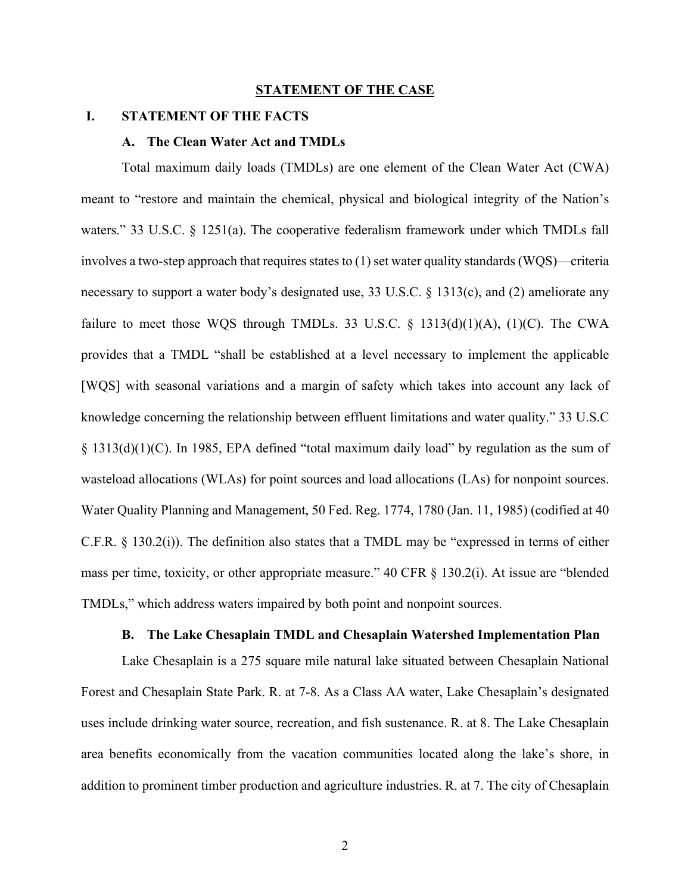#### **STATEMENT OF THE CASE**

#### **I. STATEMENT OF THE FACTS**

#### **A. The Clean Water Act and TMDLs**

Total maximum daily loads (TMDLs) are one element of the Clean Water Act (CWA) meant to "restore and maintain the chemical, physical and biological integrity of the Nation's waters." 33 U.S.C. § 1251(a). The cooperative federalism framework under which TMDLs fall involves a two-step approach that requires states to (1) set water quality standards (WQS)—criteria necessary to support a water body's designated use, 33 U.S.C. § 1313(c), and (2) ameliorate any failure to meet those WQS through TMDLs. 33 U.S.C.  $\S$  1313(d)(1)(A), (1)(C). The CWA provides that a TMDL "shall be established at a level necessary to implement the applicable [WQS] with seasonal variations and a margin of safety which takes into account any lack of knowledge concerning the relationship between effluent limitations and water quality." 33 U.S.C § 1313(d)(1)(C). In 1985, EPA defined "total maximum daily load" by regulation as the sum of wasteload allocations (WLAs) for point sources and load allocations (LAs) for nonpoint sources. Water Quality Planning and Management, 50 Fed. Reg. 1774, 1780 (Jan. 11, 1985) (codified at 40 C.F.R. § 130.2(i)). The definition also states that a TMDL may be "expressed in terms of either mass per time, toxicity, or other appropriate measure." 40 CFR § 130.2(i). At issue are "blended TMDLs," which address waters impaired by both point and nonpoint sources.

#### **B. The Lake Chesaplain TMDL and Chesaplain Watershed Implementation Plan**

Lake Chesaplain is a 275 square mile natural lake situated between Chesaplain National Forest and Chesaplain State Park. R. at 7-8. As a Class AA water, Lake Chesaplain's designated uses include drinking water source, recreation, and fish sustenance. R. at 8. The Lake Chesaplain area benefits economically from the vacation communities located along the lake's shore, in addition to prominent timber production and agriculture industries. R. at 7. The city of Chesaplain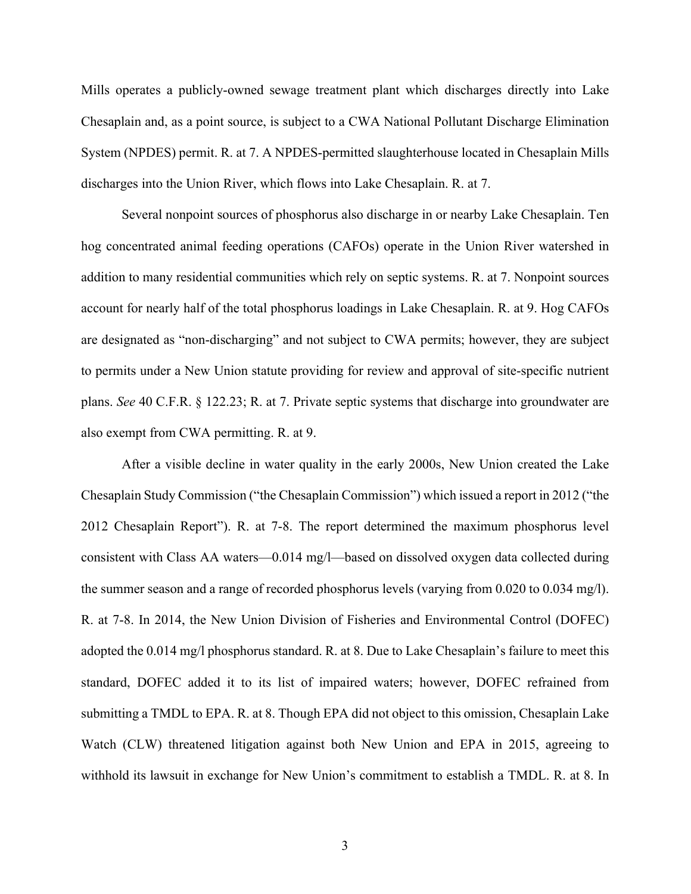Mills operates a publicly-owned sewage treatment plant which discharges directly into Lake Chesaplain and, as a point source, is subject to a CWA National Pollutant Discharge Elimination System (NPDES) permit. R. at 7. A NPDES-permitted slaughterhouse located in Chesaplain Mills discharges into the Union River, which flows into Lake Chesaplain. R. at 7.

Several nonpoint sources of phosphorus also discharge in or nearby Lake Chesaplain. Ten hog concentrated animal feeding operations (CAFOs) operate in the Union River watershed in addition to many residential communities which rely on septic systems. R. at 7. Nonpoint sources account for nearly half of the total phosphorus loadings in Lake Chesaplain. R. at 9. Hog CAFOs are designated as "non-discharging" and not subject to CWA permits; however, they are subject to permits under a New Union statute providing for review and approval of site-specific nutrient plans. *See* 40 C.F.R. § 122.23; R. at 7. Private septic systems that discharge into groundwater are also exempt from CWA permitting. R. at 9.

After a visible decline in water quality in the early 2000s, New Union created the Lake Chesaplain Study Commission ("the Chesaplain Commission") which issued a report in 2012 ("the 2012 Chesaplain Report"). R. at 7-8. The report determined the maximum phosphorus level consistent with Class AA waters—0.014 mg/l—based on dissolved oxygen data collected during the summer season and a range of recorded phosphorus levels (varying from 0.020 to 0.034 mg/l). R. at 7-8. In 2014, the New Union Division of Fisheries and Environmental Control (DOFEC) adopted the 0.014 mg/l phosphorus standard. R. at 8. Due to Lake Chesaplain's failure to meet this standard, DOFEC added it to its list of impaired waters; however, DOFEC refrained from submitting a TMDL to EPA. R. at 8. Though EPA did not object to this omission, Chesaplain Lake Watch (CLW) threatened litigation against both New Union and EPA in 2015, agreeing to withhold its lawsuit in exchange for New Union's commitment to establish a TMDL. R. at 8. In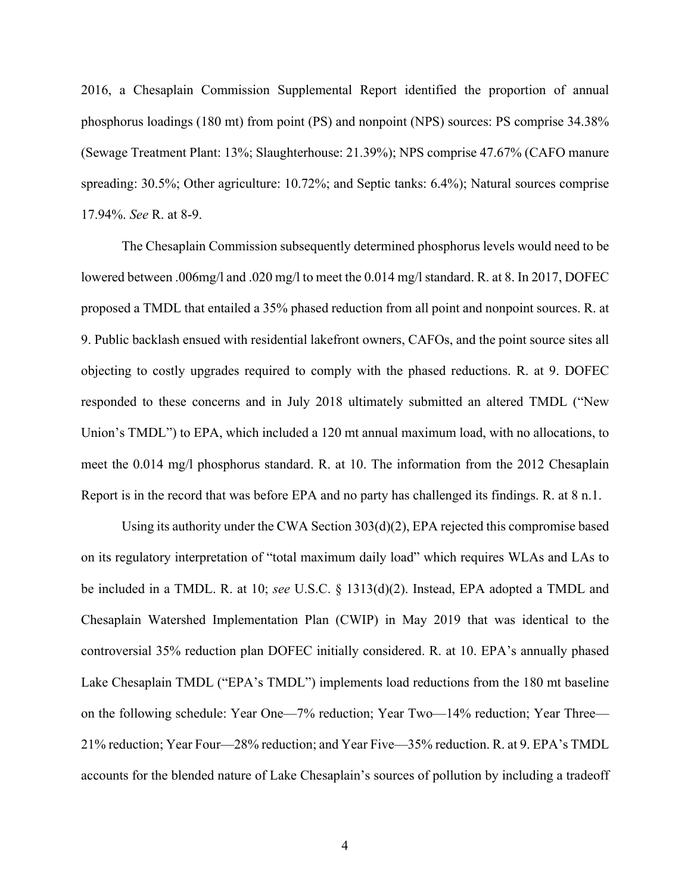2016, a Chesaplain Commission Supplemental Report identified the proportion of annual phosphorus loadings (180 mt) from point (PS) and nonpoint (NPS) sources: PS comprise 34.38% (Sewage Treatment Plant: 13%; Slaughterhouse: 21.39%); NPS comprise 47.67% (CAFO manure spreading: 30.5%; Other agriculture: 10.72%; and Septic tanks: 6.4%); Natural sources comprise 17.94%. *See* R. at 8-9.

The Chesaplain Commission subsequently determined phosphorus levels would need to be lowered between .006mg/l and .020 mg/l to meet the 0.014 mg/l standard. R. at 8. In 2017, DOFEC proposed a TMDL that entailed a 35% phased reduction from all point and nonpoint sources. R. at 9. Public backlash ensued with residential lakefront owners, CAFOs, and the point source sites all objecting to costly upgrades required to comply with the phased reductions. R. at 9. DOFEC responded to these concerns and in July 2018 ultimately submitted an altered TMDL ("New Union's TMDL") to EPA, which included a 120 mt annual maximum load, with no allocations, to meet the 0.014 mg/l phosphorus standard. R. at 10. The information from the 2012 Chesaplain Report is in the record that was before EPA and no party has challenged its findings. R. at 8 n.1.

Using its authority under the CWA Section 303(d)(2), EPA rejected this compromise based on its regulatory interpretation of "total maximum daily load" which requires WLAs and LAs to be included in a TMDL. R. at 10; *see* U.S.C. § 1313(d)(2). Instead, EPA adopted a TMDL and Chesaplain Watershed Implementation Plan (CWIP) in May 2019 that was identical to the controversial 35% reduction plan DOFEC initially considered. R. at 10. EPA's annually phased Lake Chesaplain TMDL ("EPA's TMDL") implements load reductions from the 180 mt baseline on the following schedule: Year One—7% reduction; Year Two—14% reduction; Year Three— 21% reduction; Year Four—28% reduction; and Year Five—35% reduction. R. at 9. EPA's TMDL accounts for the blended nature of Lake Chesaplain's sources of pollution by including a tradeoff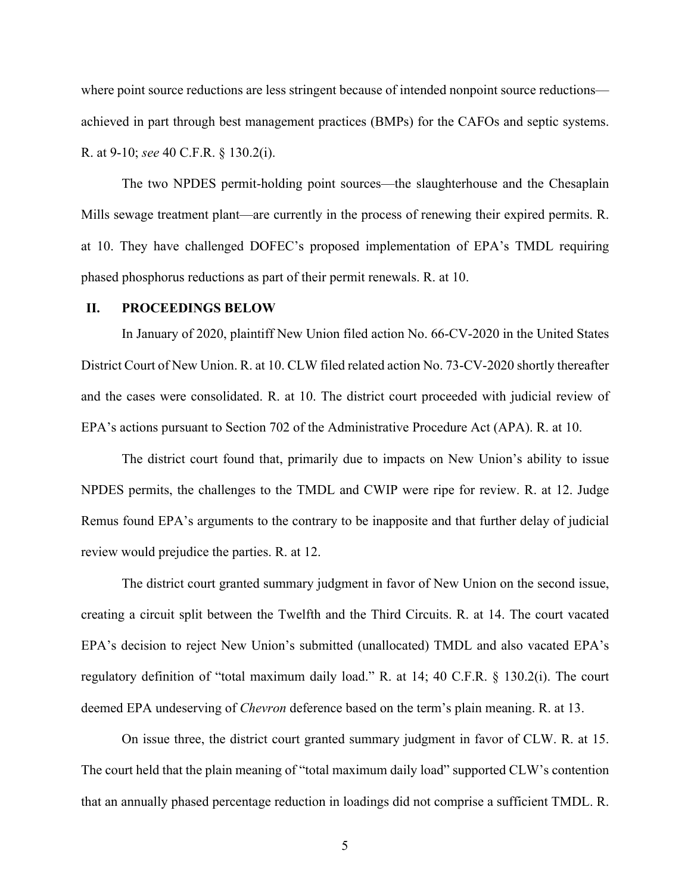where point source reductions are less stringent because of intended nonpoint source reductions achieved in part through best management practices (BMPs) for the CAFOs and septic systems. R. at 9-10; *see* 40 C.F.R. § 130.2(i).

The two NPDES permit-holding point sources—the slaughterhouse and the Chesaplain Mills sewage treatment plant—are currently in the process of renewing their expired permits. R. at 10. They have challenged DOFEC's proposed implementation of EPA's TMDL requiring phased phosphorus reductions as part of their permit renewals. R. at 10.

#### **II. PROCEEDINGS BELOW**

In January of 2020, plaintiff New Union filed action No. 66-CV-2020 in the United States District Court of New Union. R. at 10. CLW filed related action No. 73-CV-2020 shortly thereafter and the cases were consolidated. R. at 10. The district court proceeded with judicial review of EPA's actions pursuant to Section 702 of the Administrative Procedure Act (APA). R. at 10.

The district court found that, primarily due to impacts on New Union's ability to issue NPDES permits, the challenges to the TMDL and CWIP were ripe for review. R. at 12. Judge Remus found EPA's arguments to the contrary to be inapposite and that further delay of judicial review would prejudice the parties. R. at 12.

The district court granted summary judgment in favor of New Union on the second issue, creating a circuit split between the Twelfth and the Third Circuits. R. at 14. The court vacated EPA's decision to reject New Union's submitted (unallocated) TMDL and also vacated EPA's regulatory definition of "total maximum daily load." R. at 14; 40 C.F.R. § 130.2(i). The court deemed EPA undeserving of *Chevron* deference based on the term's plain meaning. R. at 13.

On issue three, the district court granted summary judgment in favor of CLW. R. at 15. The court held that the plain meaning of "total maximum daily load" supported CLW's contention that an annually phased percentage reduction in loadings did not comprise a sufficient TMDL. R.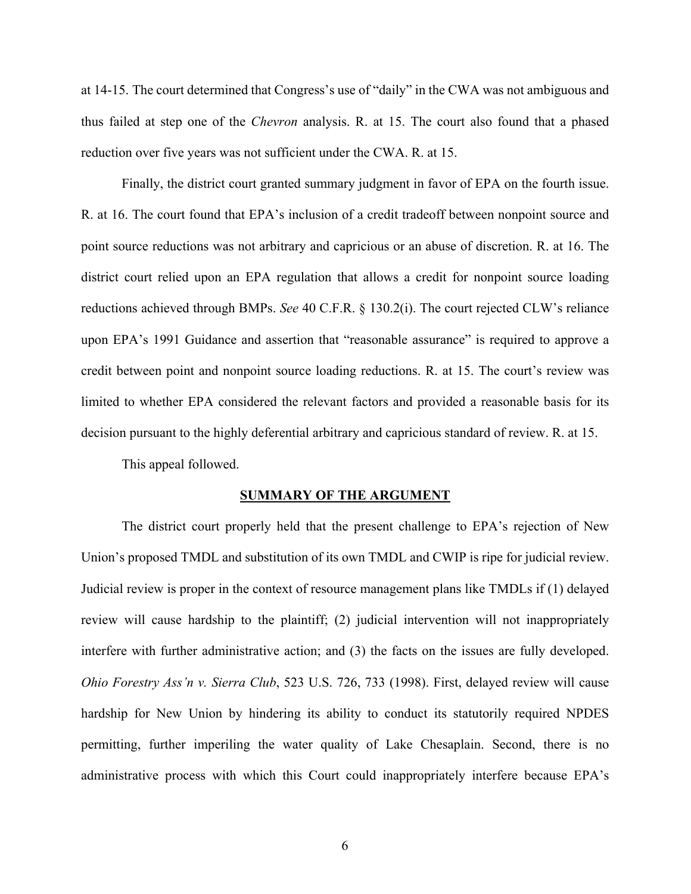at 14-15. The court determined that Congress's use of "daily" in the CWA was not ambiguous and thus failed at step one of the *Chevron* analysis. R. at 15. The court also found that a phased reduction over five years was not sufficient under the CWA. R. at 15.

Finally, the district court granted summary judgment in favor of EPA on the fourth issue. R. at 16. The court found that EPA's inclusion of a credit tradeoff between nonpoint source and point source reductions was not arbitrary and capricious or an abuse of discretion. R. at 16. The district court relied upon an EPA regulation that allows a credit for nonpoint source loading reductions achieved through BMPs. *See* 40 C.F.R. § 130.2(i). The court rejected CLW's reliance upon EPA's 1991 Guidance and assertion that "reasonable assurance" is required to approve a credit between point and nonpoint source loading reductions. R. at 15. The court's review was limited to whether EPA considered the relevant factors and provided a reasonable basis for its decision pursuant to the highly deferential arbitrary and capricious standard of review. R. at 15.

This appeal followed.

#### **SUMMARY OF THE ARGUMENT**

The district court properly held that the present challenge to EPA's rejection of New Union's proposed TMDL and substitution of its own TMDL and CWIP is ripe for judicial review. Judicial review is proper in the context of resource management plans like TMDLs if (1) delayed review will cause hardship to the plaintiff; (2) judicial intervention will not inappropriately interfere with further administrative action; and (3) the facts on the issues are fully developed. *Ohio Forestry Ass'n v. Sierra Club*, 523 U.S. 726, 733 (1998). First, delayed review will cause hardship for New Union by hindering its ability to conduct its statutorily required NPDES permitting, further imperiling the water quality of Lake Chesaplain. Second, there is no administrative process with which this Court could inappropriately interfere because EPA's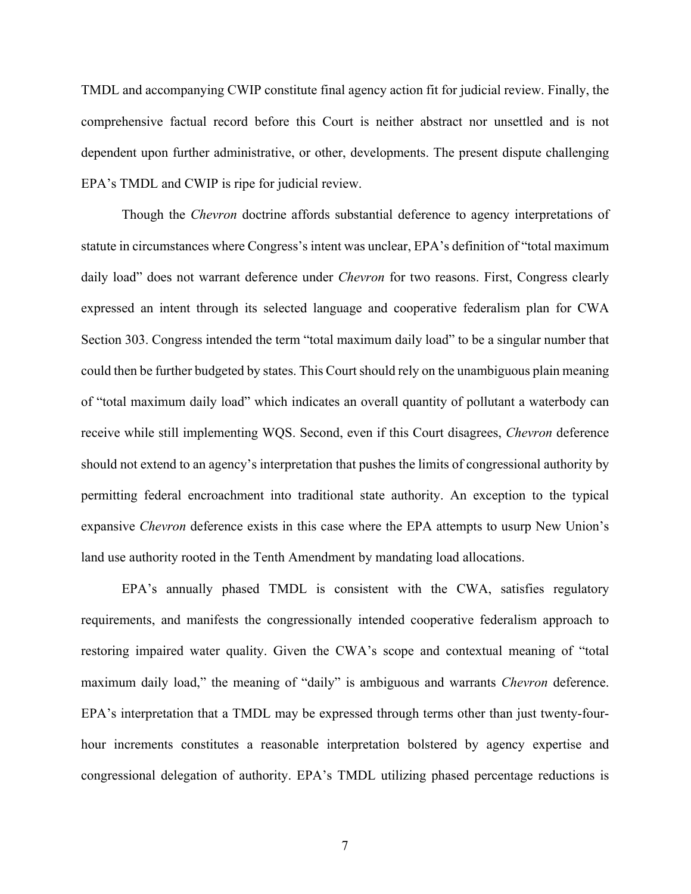TMDL and accompanying CWIP constitute final agency action fit for judicial review. Finally, the comprehensive factual record before this Court is neither abstract nor unsettled and is not dependent upon further administrative, or other, developments. The present dispute challenging EPA's TMDL and CWIP is ripe for judicial review.

Though the *Chevron* doctrine affords substantial deference to agency interpretations of statute in circumstances where Congress's intent was unclear, EPA's definition of "total maximum daily load" does not warrant deference under *Chevron* for two reasons. First, Congress clearly expressed an intent through its selected language and cooperative federalism plan for CWA Section 303. Congress intended the term "total maximum daily load" to be a singular number that could then be further budgeted by states. This Court should rely on the unambiguous plain meaning of "total maximum daily load" which indicates an overall quantity of pollutant a waterbody can receive while still implementing WQS. Second, even if this Court disagrees, *Chevron* deference should not extend to an agency's interpretation that pushes the limits of congressional authority by permitting federal encroachment into traditional state authority. An exception to the typical expansive *Chevron* deference exists in this case where the EPA attempts to usurp New Union's land use authority rooted in the Tenth Amendment by mandating load allocations.

EPA's annually phased TMDL is consistent with the CWA, satisfies regulatory requirements, and manifests the congressionally intended cooperative federalism approach to restoring impaired water quality. Given the CWA's scope and contextual meaning of "total maximum daily load," the meaning of "daily" is ambiguous and warrants *Chevron* deference. EPA's interpretation that a TMDL may be expressed through terms other than just twenty-fourhour increments constitutes a reasonable interpretation bolstered by agency expertise and congressional delegation of authority. EPA's TMDL utilizing phased percentage reductions is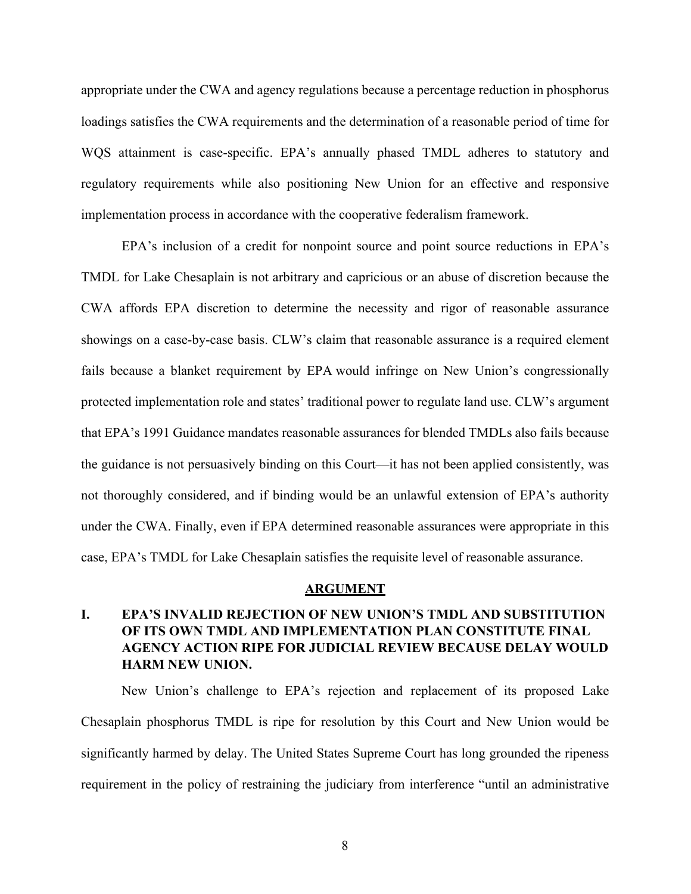appropriate under the CWA and agency regulations because a percentage reduction in phosphorus loadings satisfies the CWA requirements and the determination of a reasonable period of time for WQS attainment is case-specific. EPA's annually phased TMDL adheres to statutory and regulatory requirements while also positioning New Union for an effective and responsive implementation process in accordance with the cooperative federalism framework.

EPA's inclusion of a credit for nonpoint source and point source reductions in EPA's TMDL for Lake Chesaplain is not arbitrary and capricious or an abuse of discretion because the CWA affords EPA discretion to determine the necessity and rigor of reasonable assurance showings on a case-by-case basis. CLW's claim that reasonable assurance is a required element fails because a blanket requirement by EPA would infringe on New Union's congressionally protected implementation role and states' traditional power to regulate land use. CLW's argument that EPA's 1991 Guidance mandates reasonable assurances for blended TMDLs also fails because the guidance is not persuasively binding on this Court—it has not been applied consistently, was not thoroughly considered, and if binding would be an unlawful extension of EPA's authority under the CWA. Finally, even if EPA determined reasonable assurances were appropriate in this case, EPA's TMDL for Lake Chesaplain satisfies the requisite level of reasonable assurance.

#### **ARGUMENT**

## **I. EPA'S INVALID REJECTION OF NEW UNION'S TMDL AND SUBSTITUTION OF ITS OWN TMDL AND IMPLEMENTATION PLAN CONSTITUTE FINAL AGENCY ACTION RIPE FOR JUDICIAL REVIEW BECAUSE DELAY WOULD HARM NEW UNION.**

New Union's challenge to EPA's rejection and replacement of its proposed Lake Chesaplain phosphorus TMDL is ripe for resolution by this Court and New Union would be significantly harmed by delay. The United States Supreme Court has long grounded the ripeness requirement in the policy of restraining the judiciary from interference "until an administrative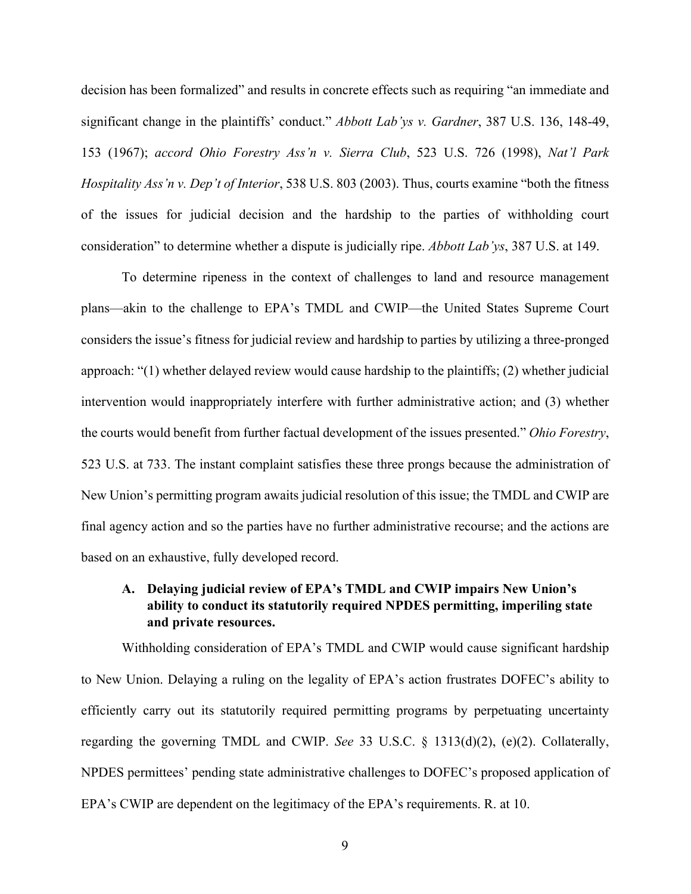decision has been formalized" and results in concrete effects such as requiring "an immediate and significant change in the plaintiffs' conduct." *Abbott Lab'ys v. Gardner*, 387 U.S. 136, 148-49, 153 (1967); *accord Ohio Forestry Ass'n v. Sierra Club*, 523 U.S. 726 (1998), *Nat'l Park Hospitality Ass'n v. Dep't of Interior*, 538 U.S. 803 (2003). Thus, courts examine "both the fitness of the issues for judicial decision and the hardship to the parties of withholding court consideration" to determine whether a dispute is judicially ripe. *Abbott Lab'ys*, 387 U.S. at 149.

To determine ripeness in the context of challenges to land and resource management plans—akin to the challenge to EPA's TMDL and CWIP—the United States Supreme Court considers the issue's fitness for judicial review and hardship to parties by utilizing a three-pronged approach: "(1) whether delayed review would cause hardship to the plaintiffs; (2) whether judicial intervention would inappropriately interfere with further administrative action; and (3) whether the courts would benefit from further factual development of the issues presented." *Ohio Forestry*, 523 U.S. at 733. The instant complaint satisfies these three prongs because the administration of New Union's permitting program awaits judicial resolution of this issue; the TMDL and CWIP are final agency action and so the parties have no further administrative recourse; and the actions are based on an exhaustive, fully developed record.

## **A. Delaying judicial review of EPA's TMDL and CWIP impairs New Union's ability to conduct its statutorily required NPDES permitting, imperiling state and private resources.**

Withholding consideration of EPA's TMDL and CWIP would cause significant hardship to New Union. Delaying a ruling on the legality of EPA's action frustrates DOFEC's ability to efficiently carry out its statutorily required permitting programs by perpetuating uncertainty regarding the governing TMDL and CWIP. *See* 33 U.S.C. § 1313(d)(2), (e)(2). Collaterally, NPDES permittees' pending state administrative challenges to DOFEC's proposed application of EPA's CWIP are dependent on the legitimacy of the EPA's requirements. R. at 10.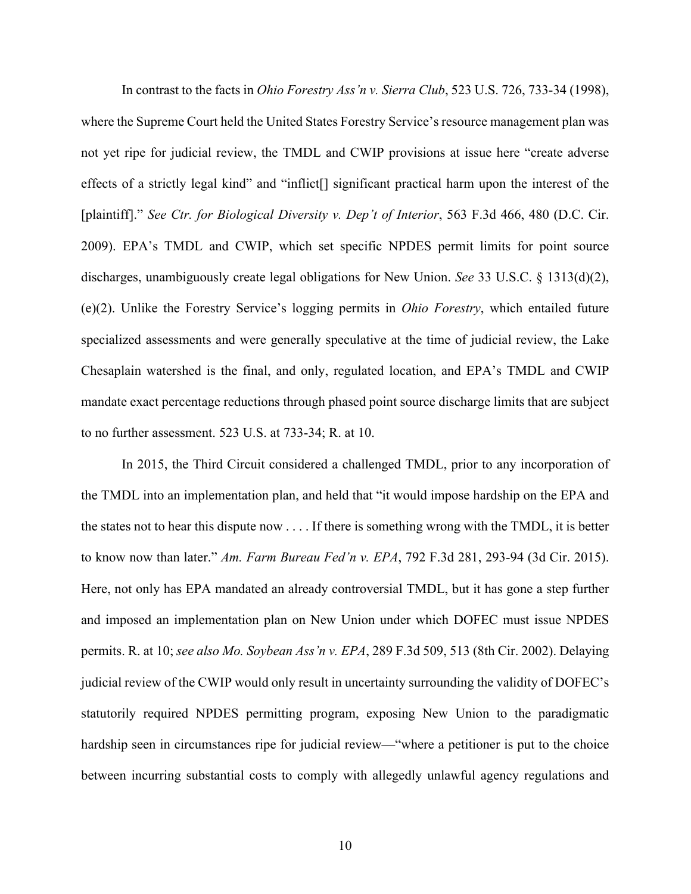In contrast to the facts in *Ohio Forestry Ass'n v. Sierra Club*, 523 U.S. 726, 733-34 (1998), where the Supreme Court held the United States Forestry Service's resource management plan was not yet ripe for judicial review, the TMDL and CWIP provisions at issue here "create adverse effects of a strictly legal kind" and "inflict[] significant practical harm upon the interest of the [plaintiff]." *See Ctr. for Biological Diversity v. Dep't of Interior*, 563 F.3d 466, 480 (D.C. Cir. 2009). EPA's TMDL and CWIP, which set specific NPDES permit limits for point source discharges, unambiguously create legal obligations for New Union. *See* 33 U.S.C. § 1313(d)(2), (e)(2). Unlike the Forestry Service's logging permits in *Ohio Forestry*, which entailed future specialized assessments and were generally speculative at the time of judicial review, the Lake Chesaplain watershed is the final, and only, regulated location, and EPA's TMDL and CWIP mandate exact percentage reductions through phased point source discharge limits that are subject to no further assessment. 523 U.S. at 733-34; R. at 10.

In 2015, the Third Circuit considered a challenged TMDL, prior to any incorporation of the TMDL into an implementation plan, and held that "it would impose hardship on the EPA and the states not to hear this dispute now . . . . If there is something wrong with the TMDL, it is better to know now than later." *Am. Farm Bureau Fed'n v. EPA*, 792 F.3d 281, 293-94 (3d Cir. 2015). Here, not only has EPA mandated an already controversial TMDL, but it has gone a step further and imposed an implementation plan on New Union under which DOFEC must issue NPDES permits. R. at 10; *see also Mo. Soybean Ass'n v. EPA*, 289 F.3d 509, 513 (8th Cir. 2002). Delaying judicial review of the CWIP would only result in uncertainty surrounding the validity of DOFEC's statutorily required NPDES permitting program, exposing New Union to the paradigmatic hardship seen in circumstances ripe for judicial review—"where a petitioner is put to the choice between incurring substantial costs to comply with allegedly unlawful agency regulations and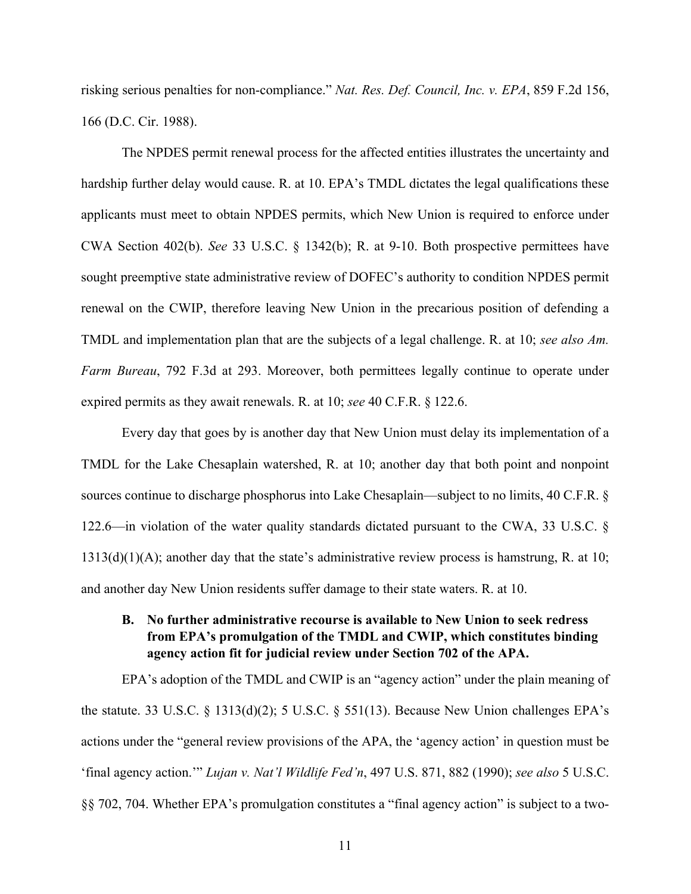risking serious penalties for non-compliance." *Nat. Res. Def. Council, Inc. v. EPA*, 859 F.2d 156, 166 (D.C. Cir. 1988).

The NPDES permit renewal process for the affected entities illustrates the uncertainty and hardship further delay would cause. R. at 10. EPA's TMDL dictates the legal qualifications these applicants must meet to obtain NPDES permits, which New Union is required to enforce under CWA Section 402(b). *See* 33 U.S.C. § 1342(b); R. at 9-10. Both prospective permittees have sought preemptive state administrative review of DOFEC's authority to condition NPDES permit renewal on the CWIP, therefore leaving New Union in the precarious position of defending a TMDL and implementation plan that are the subjects of a legal challenge. R. at 10; *see also Am. Farm Bureau*, 792 F.3d at 293. Moreover, both permittees legally continue to operate under expired permits as they await renewals. R. at 10; *see* 40 C.F.R. § 122.6.

Every day that goes by is another day that New Union must delay its implementation of a TMDL for the Lake Chesaplain watershed, R. at 10; another day that both point and nonpoint sources continue to discharge phosphorus into Lake Chesaplain—subject to no limits, 40 C.F.R. § 122.6—in violation of the water quality standards dictated pursuant to the CWA, 33 U.S.C. §  $1313(d)(1)(A)$ ; another day that the state's administrative review process is hamstrung, R. at 10; and another day New Union residents suffer damage to their state waters. R. at 10.

**B. No further administrative recourse is available to New Union to seek redress from EPA's promulgation of the TMDL and CWIP, which constitutes binding agency action fit for judicial review under Section 702 of the APA.**

EPA's adoption of the TMDL and CWIP is an "agency action" under the plain meaning of the statute. 33 U.S.C. § 1313(d)(2); 5 U.S.C. § 551(13). Because New Union challenges EPA's actions under the "general review provisions of the APA, the 'agency action' in question must be 'final agency action.'" *Lujan v. Nat'l Wildlife Fed'n*, 497 U.S. 871, 882 (1990); *see also* 5 U.S.C. §§ 702, 704. Whether EPA's promulgation constitutes a "final agency action" is subject to a two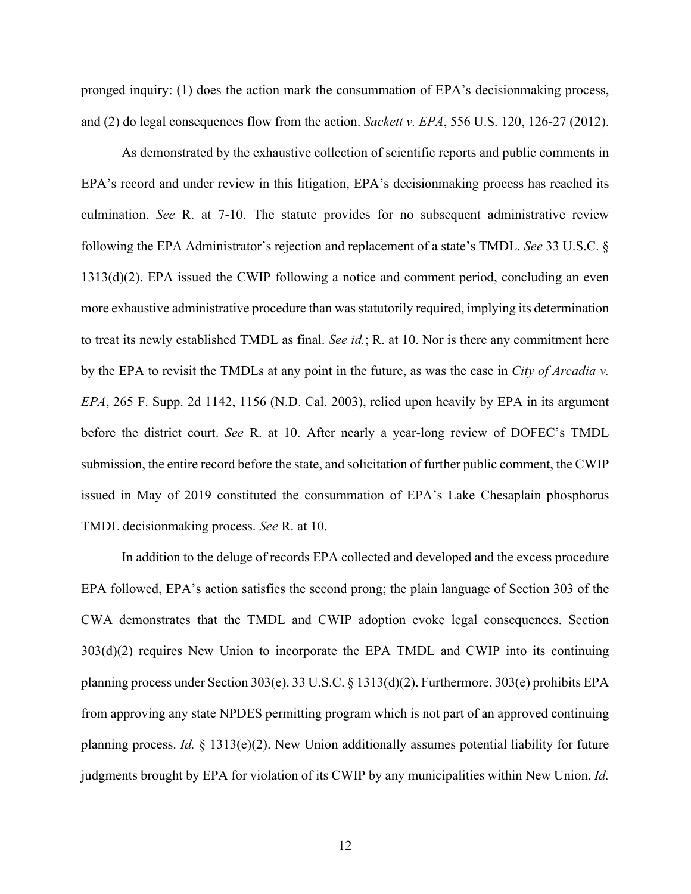pronged inquiry: (1) does the action mark the consummation of EPA's decisionmaking process, and (2) do legal consequences flow from the action. *Sackett v. EPA*, 556 U.S. 120, 126-27 (2012).

As demonstrated by the exhaustive collection of scientific reports and public comments in EPA's record and under review in this litigation, EPA's decisionmaking process has reached its culmination. *See* R. at 7-10. The statute provides for no subsequent administrative review following the EPA Administrator's rejection and replacement of a state's TMDL. *See* 33 U.S.C. § 1313(d)(2). EPA issued the CWIP following a notice and comment period, concluding an even more exhaustive administrative procedure than was statutorily required, implying its determination to treat its newly established TMDL as final. *See id.*; R. at 10. Nor is there any commitment here by the EPA to revisit the TMDLs at any point in the future, as was the case in *City of Arcadia v. EPA*, 265 F. Supp. 2d 1142, 1156 (N.D. Cal. 2003), relied upon heavily by EPA in its argument before the district court. *See* R. at 10. After nearly a year-long review of DOFEC's TMDL submission, the entire record before the state, and solicitation of further public comment, the CWIP issued in May of 2019 constituted the consummation of EPA's Lake Chesaplain phosphorus TMDL decisionmaking process. *See* R. at 10.

In addition to the deluge of records EPA collected and developed and the excess procedure EPA followed, EPA's action satisfies the second prong; the plain language of Section 303 of the CWA demonstrates that the TMDL and CWIP adoption evoke legal consequences. Section 303(d)(2) requires New Union to incorporate the EPA TMDL and CWIP into its continuing planning process under Section 303(e). 33 U.S.C. § 1313(d)(2). Furthermore, 303(e) prohibits EPA from approving any state NPDES permitting program which is not part of an approved continuing planning process. *Id.* § 1313(e)(2). New Union additionally assumes potential liability for future judgments brought by EPA for violation of its CWIP by any municipalities within New Union. *Id.*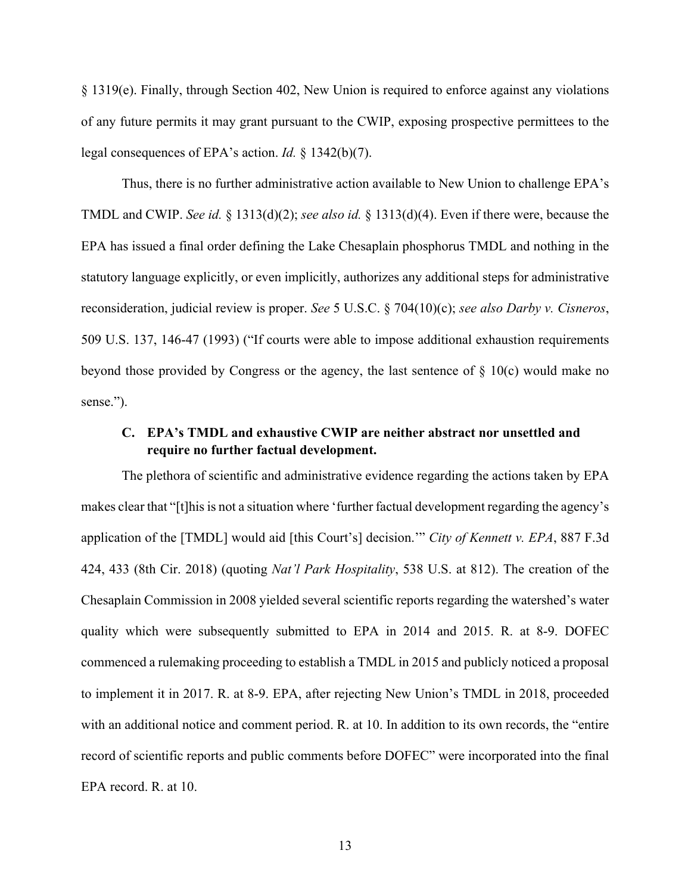§ 1319(e). Finally, through Section 402, New Union is required to enforce against any violations of any future permits it may grant pursuant to the CWIP, exposing prospective permittees to the legal consequences of EPA's action. *Id.* § 1342(b)(7).

Thus, there is no further administrative action available to New Union to challenge EPA's TMDL and CWIP. *See id.* § 1313(d)(2); *see also id.* § 1313(d)(4). Even if there were, because the EPA has issued a final order defining the Lake Chesaplain phosphorus TMDL and nothing in the statutory language explicitly, or even implicitly, authorizes any additional steps for administrative reconsideration, judicial review is proper. *See* 5 U.S.C. § 704(10)(c); *see also Darby v. Cisneros*, 509 U.S. 137, 146-47 (1993) ("If courts were able to impose additional exhaustion requirements beyond those provided by Congress or the agency, the last sentence of § 10(c) would make no sense.").

### **C. EPA's TMDL and exhaustive CWIP are neither abstract nor unsettled and require no further factual development.**

The plethora of scientific and administrative evidence regarding the actions taken by EPA makes clear that "[t]his is not a situation where 'further factual development regarding the agency's application of the [TMDL] would aid [this Court's] decision.'" *City of Kennett v. EPA*, 887 F.3d 424, 433 (8th Cir. 2018) (quoting *Nat'l Park Hospitality*, 538 U.S. at 812). The creation of the Chesaplain Commission in 2008 yielded several scientific reports regarding the watershed's water quality which were subsequently submitted to EPA in 2014 and 2015. R. at 8-9. DOFEC commenced a rulemaking proceeding to establish a TMDL in 2015 and publicly noticed a proposal to implement it in 2017. R. at 8-9. EPA, after rejecting New Union's TMDL in 2018, proceeded with an additional notice and comment period. R. at 10. In addition to its own records, the "entire" record of scientific reports and public comments before DOFEC" were incorporated into the final EPA record. R. at 10.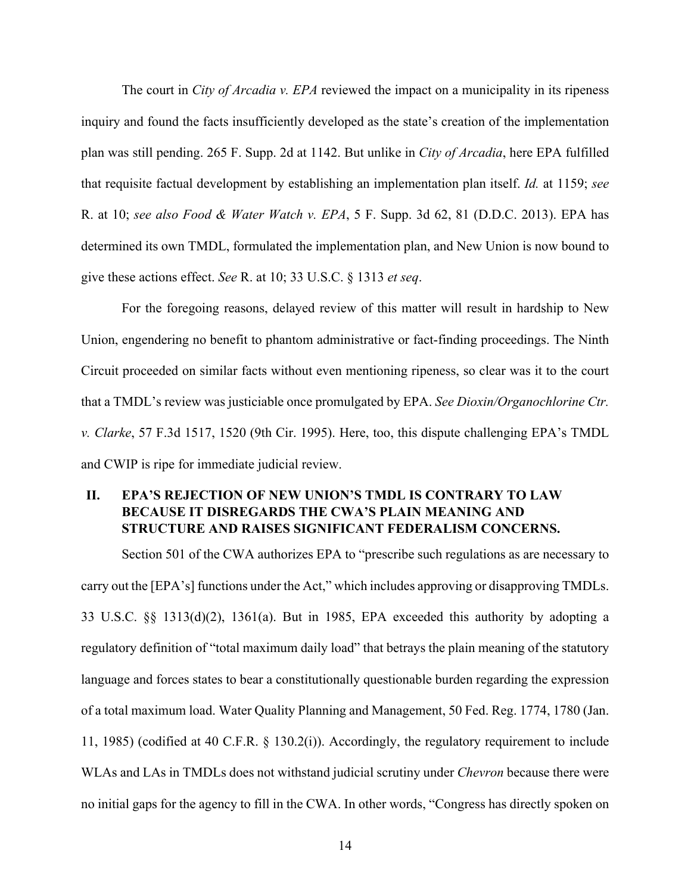The court in *City of Arcadia v. EPA* reviewed the impact on a municipality in its ripeness inquiry and found the facts insufficiently developed as the state's creation of the implementation plan was still pending. 265 F. Supp. 2d at 1142. But unlike in *City of Arcadia*, here EPA fulfilled that requisite factual development by establishing an implementation plan itself. *Id.* at 1159; *see*  R. at 10; *see also Food & Water Watch v. EPA*, 5 F. Supp. 3d 62, 81 (D.D.C. 2013). EPA has determined its own TMDL, formulated the implementation plan, and New Union is now bound to give these actions effect. *See* R. at 10; 33 U.S.C. § 1313 *et seq*.

For the foregoing reasons, delayed review of this matter will result in hardship to New Union, engendering no benefit to phantom administrative or fact-finding proceedings. The Ninth Circuit proceeded on similar facts without even mentioning ripeness, so clear was it to the court that a TMDL's review was justiciable once promulgated by EPA. *See Dioxin/Organochlorine Ctr. v. Clarke*, 57 F.3d 1517, 1520 (9th Cir. 1995). Here, too, this dispute challenging EPA's TMDL and CWIP is ripe for immediate judicial review.

## **II. EPA'S REJECTION OF NEW UNION'S TMDL IS CONTRARY TO LAW BECAUSE IT DISREGARDS THE CWA'S PLAIN MEANING AND STRUCTURE AND RAISES SIGNIFICANT FEDERALISM CONCERNS.**

Section 501 of the CWA authorizes EPA to "prescribe such regulations as are necessary to carry out the [EPA's] functions under the Act," which includes approving or disapproving TMDLs. 33 U.S.C. §§ 1313(d)(2), 1361(a). But in 1985, EPA exceeded this authority by adopting a regulatory definition of "total maximum daily load" that betrays the plain meaning of the statutory language and forces states to bear a constitutionally questionable burden regarding the expression of a total maximum load. Water Quality Planning and Management, 50 Fed. Reg. 1774, 1780 (Jan. 11, 1985) (codified at 40 C.F.R. § 130.2(i)). Accordingly, the regulatory requirement to include WLAs and LAs in TMDLs does not withstand judicial scrutiny under *Chevron* because there were no initial gaps for the agency to fill in the CWA. In other words, "Congress has directly spoken on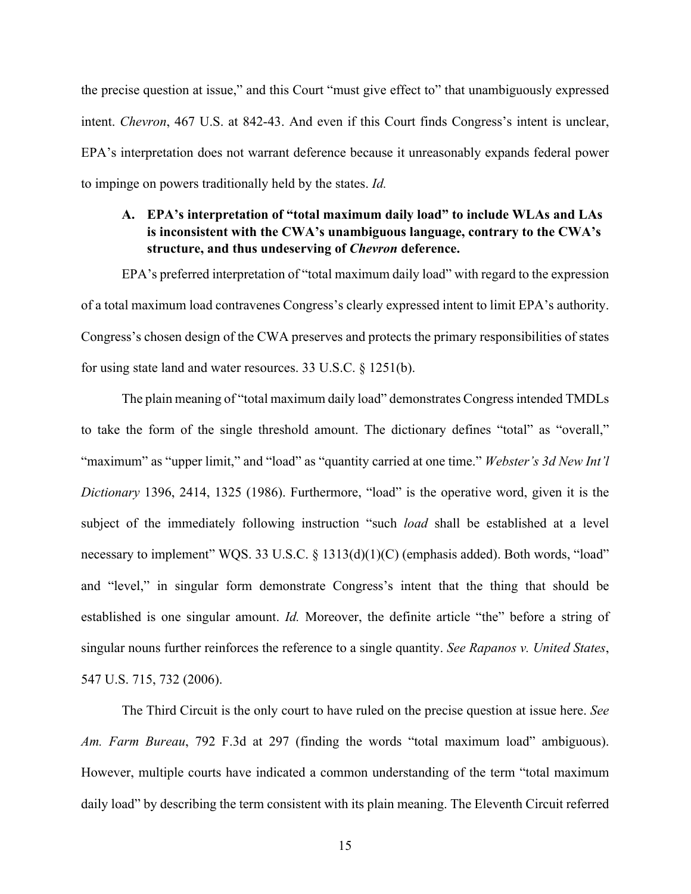the precise question at issue," and this Court "must give effect to" that unambiguously expressed intent. *Chevron*, 467 U.S. at 842-43. And even if this Court finds Congress's intent is unclear, EPA's interpretation does not warrant deference because it unreasonably expands federal power to impinge on powers traditionally held by the states. *Id.*

## **A. EPA's interpretation of "total maximum daily load" to include WLAs and LAs is inconsistent with the CWA's unambiguous language, contrary to the CWA's structure, and thus undeserving of** *Chevron* **deference.**

EPA's preferred interpretation of "total maximum daily load" with regard to the expression of a total maximum load contravenes Congress's clearly expressed intent to limit EPA's authority. Congress's chosen design of the CWA preserves and protects the primary responsibilities of states for using state land and water resources. 33 U.S.C. § 1251(b).

The plain meaning of "total maximum daily load" demonstrates Congress intended TMDLs to take the form of the single threshold amount. The dictionary defines "total" as "overall," "maximum" as "upper limit," and "load" as "quantity carried at one time." *Webster's 3d New Int'l Dictionary* 1396, 2414, 1325 (1986). Furthermore, "load" is the operative word, given it is the subject of the immediately following instruction "such *load* shall be established at a level necessary to implement" WQS. 33 U.S.C. § 1313(d)(1)(C) (emphasis added). Both words, "load" and "level," in singular form demonstrate Congress's intent that the thing that should be established is one singular amount. *Id.* Moreover, the definite article "the" before a string of singular nouns further reinforces the reference to a single quantity. *See Rapanos v. United States*, 547 U.S. 715, 732 (2006).

The Third Circuit is the only court to have ruled on the precise question at issue here. *See Am. Farm Bureau*, 792 F.3d at 297 (finding the words "total maximum load" ambiguous). However, multiple courts have indicated a common understanding of the term "total maximum daily load" by describing the term consistent with its plain meaning. The Eleventh Circuit referred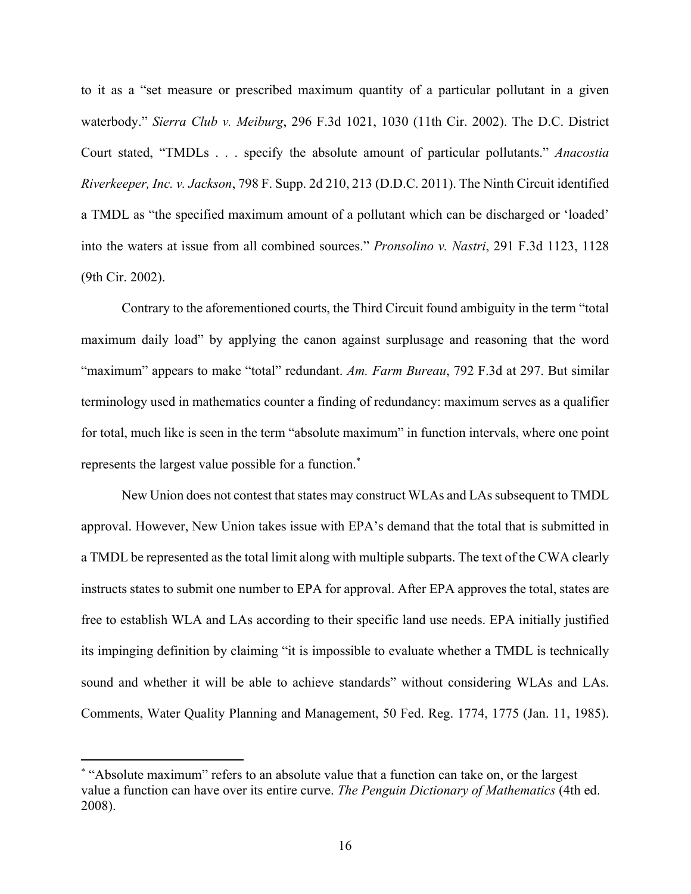to it as a "set measure or prescribed maximum quantity of a particular pollutant in a given waterbody." *Sierra Club v. Meiburg*, 296 F.3d 1021, 1030 (11th Cir. 2002). The D.C. District Court stated, "TMDLs . . . specify the absolute amount of particular pollutants." *Anacostia Riverkeeper, Inc. v. Jackson*, 798 F. Supp. 2d 210, 213 (D.D.C. 2011). The Ninth Circuit identified a TMDL as "the specified maximum amount of a pollutant which can be discharged or 'loaded' into the waters at issue from all combined sources." *Pronsolino v. Nastri*, 291 F.3d 1123, 1128 (9th Cir. 2002).

Contrary to the aforementioned courts, the Third Circuit found ambiguity in the term "total maximum daily load" by applying the canon against surplusage and reasoning that the word "maximum" appears to make "total" redundant. *Am. Farm Bureau*, 792 F.3d at 297. But similar terminology used in mathematics counter a finding of redundancy: maximum serves as a qualifier for total, much like is seen in the term "absolute maximum" in function intervals, where one point represents the largest value possible for a function.\*

New Union does not contest that states may construct WLAs and LAs subsequent to TMDL approval. However, New Union takes issue with EPA's demand that the total that is submitted in a TMDL be represented as the total limit along with multiple subparts. The text of the CWA clearly instructs states to submit one number to EPA for approval. After EPA approves the total, states are free to establish WLA and LAs according to their specific land use needs. EPA initially justified its impinging definition by claiming "it is impossible to evaluate whether a TMDL is technically sound and whether it will be able to achieve standards" without considering WLAs and LAs. Comments, Water Quality Planning and Management, 50 Fed. Reg. 1774, 1775 (Jan. 11, 1985).

<sup>\*</sup> "Absolute maximum" refers to an absolute value that a function can take on, or the largest value a function can have over its entire curve. *The Penguin Dictionary of Mathematics* (4th ed. 2008).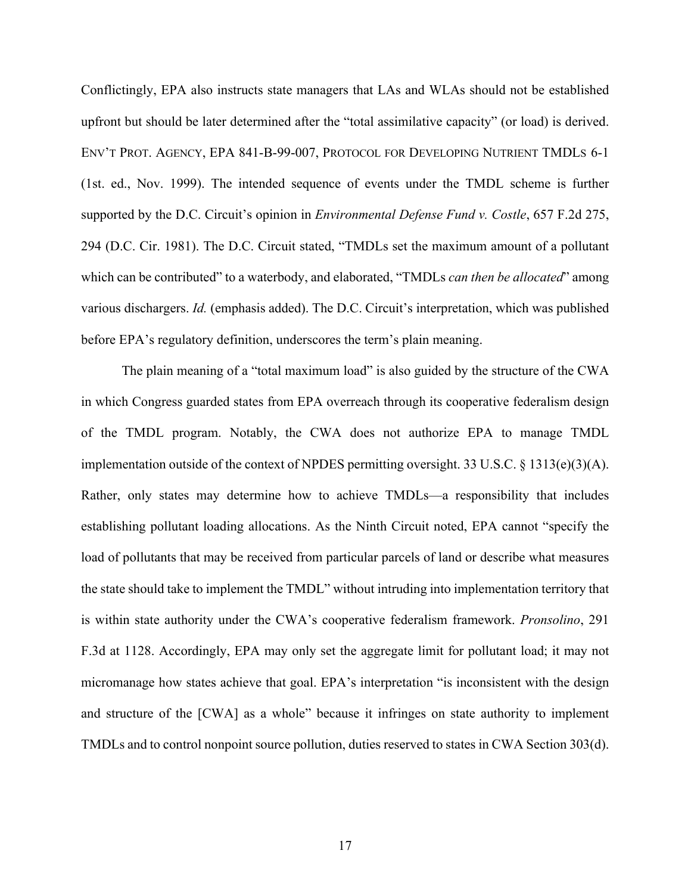Conflictingly, EPA also instructs state managers that LAs and WLAs should not be established upfront but should be later determined after the "total assimilative capacity" (or load) is derived. ENV'T PROT. AGENCY, EPA 841-B-99-007, PROTOCOL FOR DEVELOPING NUTRIENT TMDLS 6-1 (1st. ed., Nov. 1999). The intended sequence of events under the TMDL scheme is further supported by the D.C. Circuit's opinion in *Environmental Defense Fund v. Costle*, 657 F.2d 275, 294 (D.C. Cir. 1981). The D.C. Circuit stated, "TMDLs set the maximum amount of a pollutant which can be contributed" to a waterbody, and elaborated, "TMDLs *can then be allocated*" among various dischargers. *Id.* (emphasis added). The D.C. Circuit's interpretation, which was published before EPA's regulatory definition, underscores the term's plain meaning.

The plain meaning of a "total maximum load" is also guided by the structure of the CWA in which Congress guarded states from EPA overreach through its cooperative federalism design of the TMDL program. Notably, the CWA does not authorize EPA to manage TMDL implementation outside of the context of NPDES permitting oversight. 33 U.S.C. § 1313(e)(3)(A). Rather, only states may determine how to achieve TMDLs—a responsibility that includes establishing pollutant loading allocations. As the Ninth Circuit noted, EPA cannot "specify the load of pollutants that may be received from particular parcels of land or describe what measures the state should take to implement the TMDL" without intruding into implementation territory that is within state authority under the CWA's cooperative federalism framework. *Pronsolino*, 291 F.3d at 1128. Accordingly, EPA may only set the aggregate limit for pollutant load; it may not micromanage how states achieve that goal. EPA's interpretation "is inconsistent with the design and structure of the [CWA] as a whole" because it infringes on state authority to implement TMDLs and to control nonpoint source pollution, duties reserved to states in CWA Section 303(d).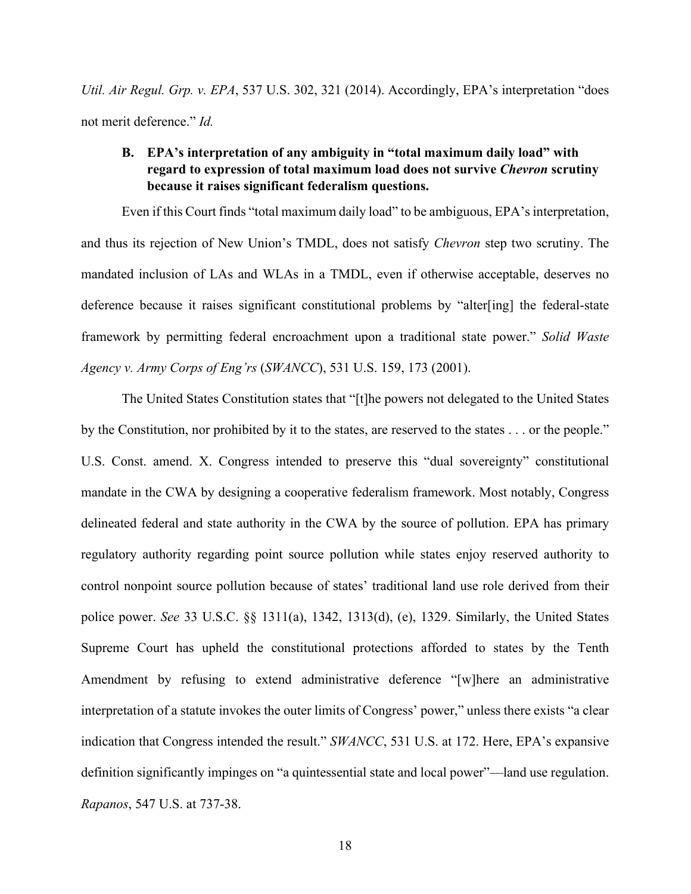*Util. Air Regul. Grp. v. EPA*, 537 U.S. 302, 321 (2014). Accordingly, EPA's interpretation "does not merit deference." *Id.* 

## **B. EPA's interpretation of any ambiguity in "total maximum daily load" with regard to expression of total maximum load does not survive** *Chevron* **scrutiny because it raises significant federalism questions.**

Even if this Court finds "total maximum daily load" to be ambiguous, EPA's interpretation, and thus its rejection of New Union's TMDL, does not satisfy *Chevron* step two scrutiny. The mandated inclusion of LAs and WLAs in a TMDL, even if otherwise acceptable, deserves no deference because it raises significant constitutional problems by "alter[ing] the federal-state framework by permitting federal encroachment upon a traditional state power." *Solid Waste Agency v. Army Corps of Eng'rs* (*SWANCC*), 531 U.S. 159, 173 (2001).

The United States Constitution states that "[t]he powers not delegated to the United States by the Constitution, nor prohibited by it to the states, are reserved to the states . . . or the people." U.S. Const. amend. X. Congress intended to preserve this "dual sovereignty" constitutional mandate in the CWA by designing a cooperative federalism framework. Most notably, Congress delineated federal and state authority in the CWA by the source of pollution. EPA has primary regulatory authority regarding point source pollution while states enjoy reserved authority to control nonpoint source pollution because of states' traditional land use role derived from their police power. *See* 33 U.S.C. §§ 1311(a), 1342, 1313(d), (e), 1329. Similarly, the United States Supreme Court has upheld the constitutional protections afforded to states by the Tenth Amendment by refusing to extend administrative deference "[w]here an administrative interpretation of a statute invokes the outer limits of Congress' power," unless there exists "a clear indication that Congress intended the result." *SWANCC*, 531 U.S. at 172. Here, EPA's expansive definition significantly impinges on "a quintessential state and local power"—land use regulation. *Rapanos*, 547 U.S. at 737-38.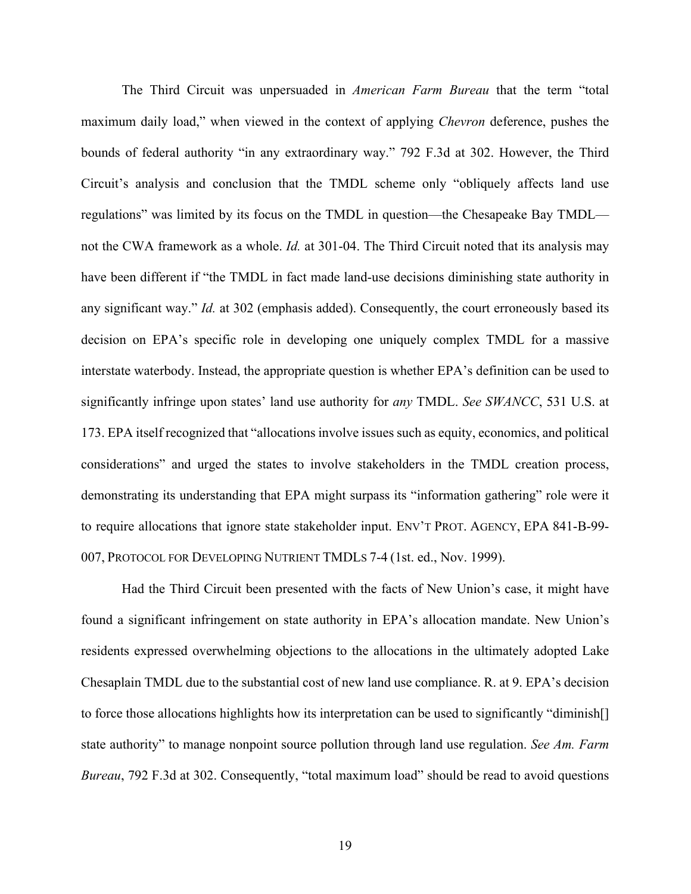The Third Circuit was unpersuaded in *American Farm Bureau* that the term "total maximum daily load," when viewed in the context of applying *Chevron* deference, pushes the bounds of federal authority "in any extraordinary way." 792 F.3d at 302. However, the Third Circuit's analysis and conclusion that the TMDL scheme only "obliquely affects land use regulations" was limited by its focus on the TMDL in question—the Chesapeake Bay TMDL not the CWA framework as a whole. *Id.* at 301-04. The Third Circuit noted that its analysis may have been different if "the TMDL in fact made land-use decisions diminishing state authority in any significant way." *Id.* at 302 (emphasis added). Consequently, the court erroneously based its decision on EPA's specific role in developing one uniquely complex TMDL for a massive interstate waterbody. Instead, the appropriate question is whether EPA's definition can be used to significantly infringe upon states' land use authority for *any* TMDL. *See SWANCC*, 531 U.S. at 173. EPA itself recognized that "allocations involve issues such as equity, economics, and political considerations" and urged the states to involve stakeholders in the TMDL creation process, demonstrating its understanding that EPA might surpass its "information gathering" role were it to require allocations that ignore state stakeholder input. ENV'T PROT. AGENCY, EPA 841-B-99- 007, PROTOCOL FOR DEVELOPING NUTRIENT TMDLS 7-4 (1st. ed., Nov. 1999).

Had the Third Circuit been presented with the facts of New Union's case, it might have found a significant infringement on state authority in EPA's allocation mandate. New Union's residents expressed overwhelming objections to the allocations in the ultimately adopted Lake Chesaplain TMDL due to the substantial cost of new land use compliance. R. at 9. EPA's decision to force those allocations highlights how its interpretation can be used to significantly "diminish[] state authority" to manage nonpoint source pollution through land use regulation. *See Am. Farm Bureau*, 792 F.3d at 302. Consequently, "total maximum load" should be read to avoid questions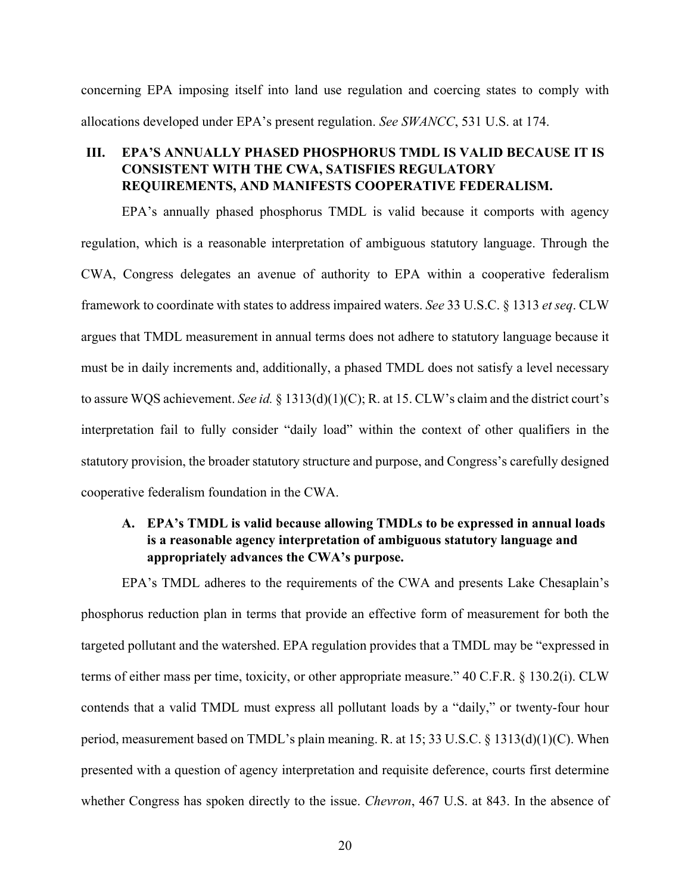concerning EPA imposing itself into land use regulation and coercing states to comply with allocations developed under EPA's present regulation. *See SWANCC*, 531 U.S. at 174.

### **III. EPA'S ANNUALLY PHASED PHOSPHORUS TMDL IS VALID BECAUSE IT IS CONSISTENT WITH THE CWA, SATISFIES REGULATORY REQUIREMENTS, AND MANIFESTS COOPERATIVE FEDERALISM.**

EPA's annually phased phosphorus TMDL is valid because it comports with agency regulation, which is a reasonable interpretation of ambiguous statutory language. Through the CWA, Congress delegates an avenue of authority to EPA within a cooperative federalism framework to coordinate with states to address impaired waters. *See* 33 U.S.C. § 1313 *et seq*. CLW argues that TMDL measurement in annual terms does not adhere to statutory language because it must be in daily increments and, additionally, a phased TMDL does not satisfy a level necessary to assure WQS achievement. *See id.* § 1313(d)(1)(C); R. at 15. CLW's claim and the district court's interpretation fail to fully consider "daily load" within the context of other qualifiers in the statutory provision, the broader statutory structure and purpose, and Congress's carefully designed cooperative federalism foundation in the CWA.

## **A. EPA's TMDL is valid because allowing TMDLs to be expressed in annual loads is a reasonable agency interpretation of ambiguous statutory language and appropriately advances the CWA's purpose.**

EPA's TMDL adheres to the requirements of the CWA and presents Lake Chesaplain's phosphorus reduction plan in terms that provide an effective form of measurement for both the targeted pollutant and the watershed. EPA regulation provides that a TMDL may be "expressed in terms of either mass per time, toxicity, or other appropriate measure." 40 C.F.R. § 130.2(i). CLW contends that a valid TMDL must express all pollutant loads by a "daily," or twenty-four hour period, measurement based on TMDL's plain meaning. R. at 15; 33 U.S.C. § 1313(d)(1)(C). When presented with a question of agency interpretation and requisite deference, courts first determine whether Congress has spoken directly to the issue. *Chevron*, 467 U.S. at 843. In the absence of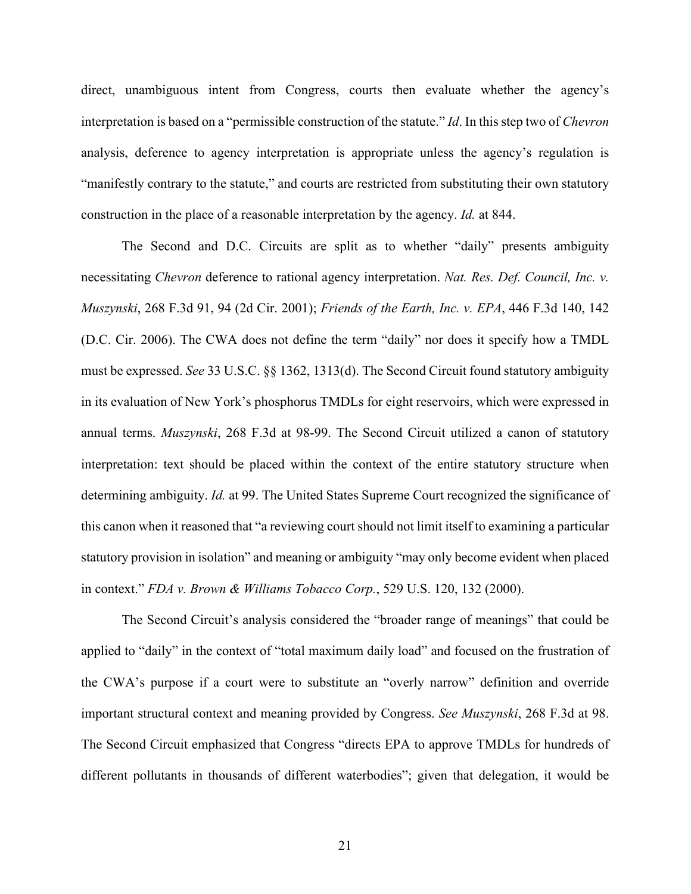direct, unambiguous intent from Congress, courts then evaluate whether the agency's interpretation is based on a "permissible construction of the statute." *Id*. In this step two of *Chevron* analysis, deference to agency interpretation is appropriate unless the agency's regulation is "manifestly contrary to the statute," and courts are restricted from substituting their own statutory construction in the place of a reasonable interpretation by the agency. *Id.* at 844.

The Second and D.C. Circuits are split as to whether "daily" presents ambiguity necessitating *Chevron* deference to rational agency interpretation. *Nat. Res. Def. Council, Inc. v. Muszynski*, 268 F.3d 91, 94 (2d Cir. 2001); *Friends of the Earth, Inc. v. EPA*, 446 F.3d 140, 142 (D.C. Cir. 2006). The CWA does not define the term "daily" nor does it specify how a TMDL must be expressed. *See* 33 U.S.C. §§ 1362, 1313(d). The Second Circuit found statutory ambiguity in its evaluation of New York's phosphorus TMDLs for eight reservoirs, which were expressed in annual terms. *Muszynski*, 268 F.3d at 98-99. The Second Circuit utilized a canon of statutory interpretation: text should be placed within the context of the entire statutory structure when determining ambiguity. *Id.* at 99. The United States Supreme Court recognized the significance of this canon when it reasoned that "a reviewing court should not limit itself to examining a particular statutory provision in isolation" and meaning or ambiguity "may only become evident when placed in context." *FDA v. Brown & Williams Tobacco Corp.*, 529 U.S. 120, 132 (2000).

The Second Circuit's analysis considered the "broader range of meanings" that could be applied to "daily" in the context of "total maximum daily load" and focused on the frustration of the CWA's purpose if a court were to substitute an "overly narrow" definition and override important structural context and meaning provided by Congress. *See Muszynski*, 268 F.3d at 98. The Second Circuit emphasized that Congress "directs EPA to approve TMDLs for hundreds of different pollutants in thousands of different waterbodies"; given that delegation, it would be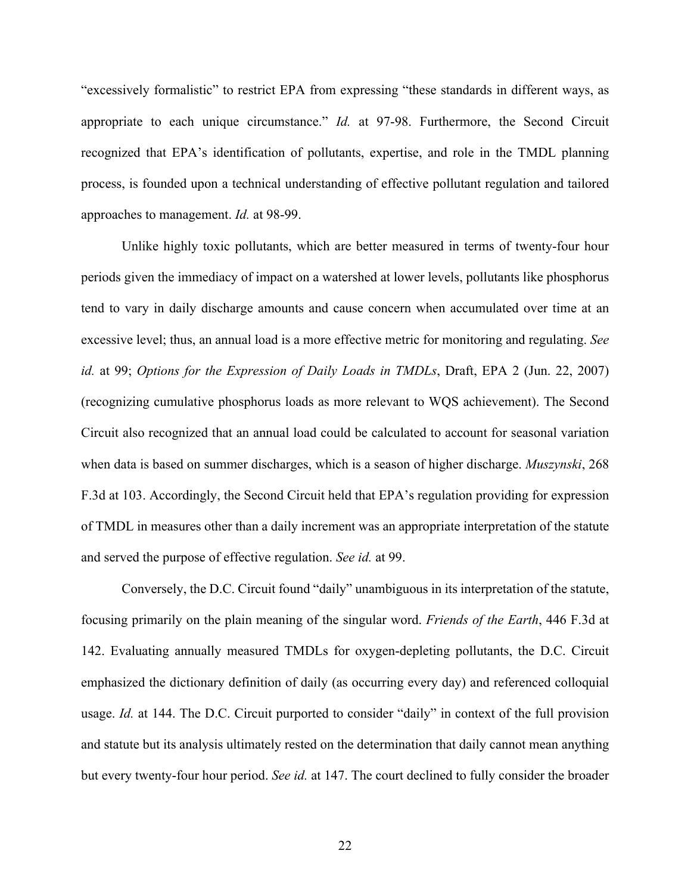"excessively formalistic" to restrict EPA from expressing "these standards in different ways, as appropriate to each unique circumstance." *Id.* at 97-98. Furthermore, the Second Circuit recognized that EPA's identification of pollutants, expertise, and role in the TMDL planning process, is founded upon a technical understanding of effective pollutant regulation and tailored approaches to management. *Id.* at 98-99.

Unlike highly toxic pollutants, which are better measured in terms of twenty-four hour periods given the immediacy of impact on a watershed at lower levels, pollutants like phosphorus tend to vary in daily discharge amounts and cause concern when accumulated over time at an excessive level; thus, an annual load is a more effective metric for monitoring and regulating. *See id.* at 99; *Options for the Expression of Daily Loads in TMDLs*, Draft, EPA 2 (Jun. 22, 2007) (recognizing cumulative phosphorus loads as more relevant to WQS achievement). The Second Circuit also recognized that an annual load could be calculated to account for seasonal variation when data is based on summer discharges, which is a season of higher discharge. *Muszynski*, 268 F.3d at 103. Accordingly, the Second Circuit held that EPA's regulation providing for expression of TMDL in measures other than a daily increment was an appropriate interpretation of the statute and served the purpose of effective regulation. *See id.* at 99.

Conversely, the D.C. Circuit found "daily" unambiguous in its interpretation of the statute, focusing primarily on the plain meaning of the singular word. *Friends of the Earth*, 446 F.3d at 142. Evaluating annually measured TMDLs for oxygen-depleting pollutants, the D.C. Circuit emphasized the dictionary definition of daily (as occurring every day) and referenced colloquial usage. *Id.* at 144. The D.C. Circuit purported to consider "daily" in context of the full provision and statute but its analysis ultimately rested on the determination that daily cannot mean anything but every twenty-four hour period. *See id.* at 147. The court declined to fully consider the broader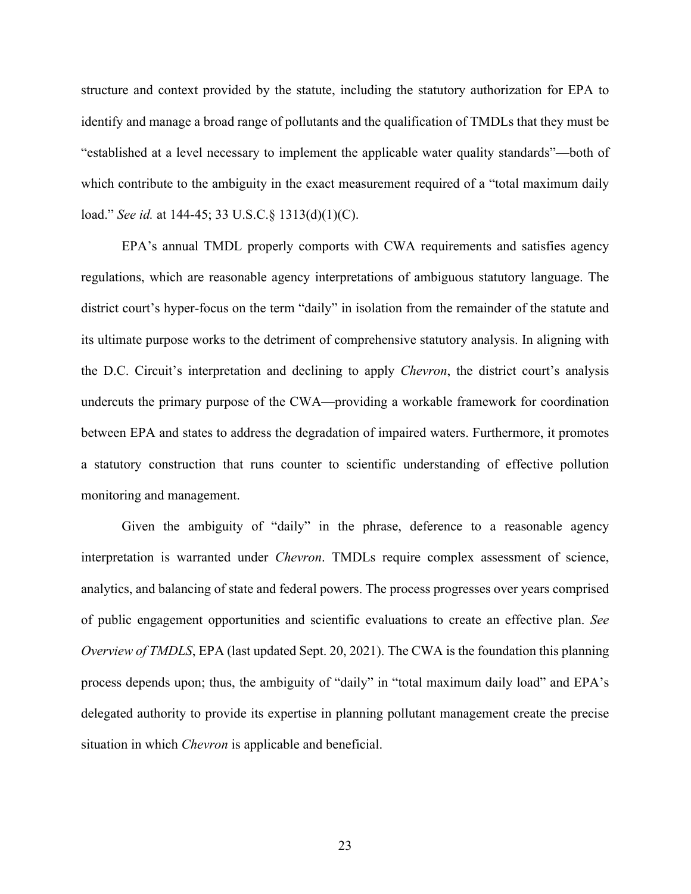structure and context provided by the statute, including the statutory authorization for EPA to identify and manage a broad range of pollutants and the qualification of TMDLs that they must be "established at a level necessary to implement the applicable water quality standards"—both of which contribute to the ambiguity in the exact measurement required of a "total maximum daily load." *See id.* at 144-45; 33 U.S.C.§ 1313(d)(1)(C).

EPA's annual TMDL properly comports with CWA requirements and satisfies agency regulations, which are reasonable agency interpretations of ambiguous statutory language. The district court's hyper-focus on the term "daily" in isolation from the remainder of the statute and its ultimate purpose works to the detriment of comprehensive statutory analysis. In aligning with the D.C. Circuit's interpretation and declining to apply *Chevron*, the district court's analysis undercuts the primary purpose of the CWA—providing a workable framework for coordination between EPA and states to address the degradation of impaired waters. Furthermore, it promotes a statutory construction that runs counter to scientific understanding of effective pollution monitoring and management.

Given the ambiguity of "daily" in the phrase, deference to a reasonable agency interpretation is warranted under *Chevron*. TMDLs require complex assessment of science, analytics, and balancing of state and federal powers. The process progresses over years comprised of public engagement opportunities and scientific evaluations to create an effective plan. *See Overview of TMDLS*, EPA (last updated Sept. 20, 2021). The CWA is the foundation this planning process depends upon; thus, the ambiguity of "daily" in "total maximum daily load" and EPA's delegated authority to provide its expertise in planning pollutant management create the precise situation in which *Chevron* is applicable and beneficial.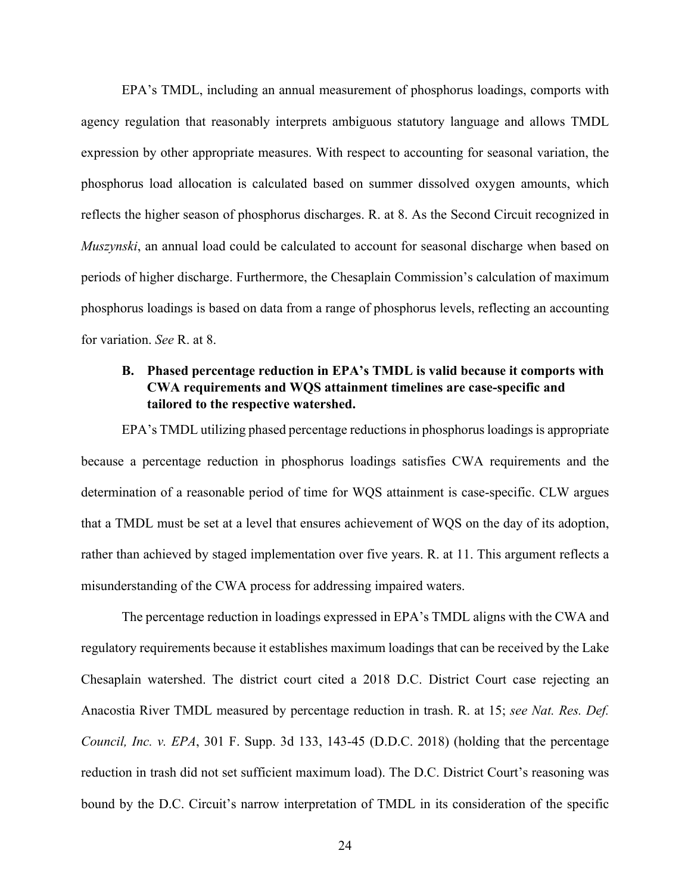EPA's TMDL, including an annual measurement of phosphorus loadings, comports with agency regulation that reasonably interprets ambiguous statutory language and allows TMDL expression by other appropriate measures. With respect to accounting for seasonal variation, the phosphorus load allocation is calculated based on summer dissolved oxygen amounts, which reflects the higher season of phosphorus discharges. R. at 8. As the Second Circuit recognized in *Muszynski*, an annual load could be calculated to account for seasonal discharge when based on periods of higher discharge. Furthermore, the Chesaplain Commission's calculation of maximum phosphorus loadings is based on data from a range of phosphorus levels, reflecting an accounting for variation. *See* R. at 8.

## **B. Phased percentage reduction in EPA's TMDL is valid because it comports with CWA requirements and WQS attainment timelines are case-specific and tailored to the respective watershed.**

EPA's TMDL utilizing phased percentage reductions in phosphorus loadings is appropriate because a percentage reduction in phosphorus loadings satisfies CWA requirements and the determination of a reasonable period of time for WQS attainment is case-specific. CLW argues that a TMDL must be set at a level that ensures achievement of WQS on the day of its adoption, rather than achieved by staged implementation over five years. R. at 11. This argument reflects a misunderstanding of the CWA process for addressing impaired waters.

The percentage reduction in loadings expressed in EPA's TMDL aligns with the CWA and regulatory requirements because it establishes maximum loadings that can be received by the Lake Chesaplain watershed. The district court cited a 2018 D.C. District Court case rejecting an Anacostia River TMDL measured by percentage reduction in trash. R. at 15; *see Nat. Res. Def. Council, Inc. v. EPA*, 301 F. Supp. 3d 133, 143-45 (D.D.C. 2018) (holding that the percentage reduction in trash did not set sufficient maximum load). The D.C. District Court's reasoning was bound by the D.C. Circuit's narrow interpretation of TMDL in its consideration of the specific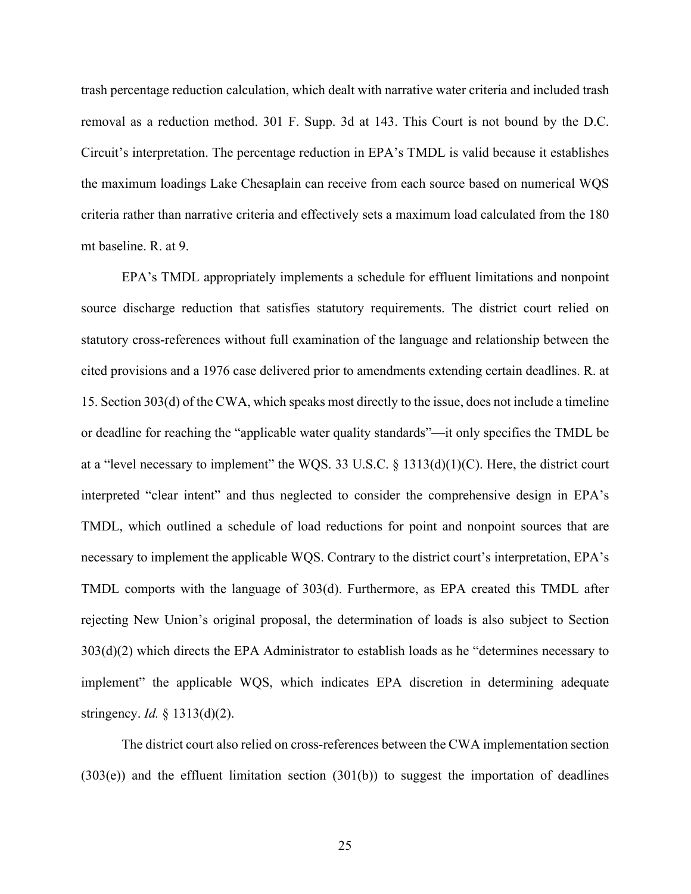trash percentage reduction calculation, which dealt with narrative water criteria and included trash removal as a reduction method. 301 F. Supp. 3d at 143. This Court is not bound by the D.C. Circuit's interpretation. The percentage reduction in EPA's TMDL is valid because it establishes the maximum loadings Lake Chesaplain can receive from each source based on numerical WQS criteria rather than narrative criteria and effectively sets a maximum load calculated from the 180 mt baseline. R. at 9.

EPA's TMDL appropriately implements a schedule for effluent limitations and nonpoint source discharge reduction that satisfies statutory requirements. The district court relied on statutory cross-references without full examination of the language and relationship between the cited provisions and a 1976 case delivered prior to amendments extending certain deadlines. R. at 15. Section 303(d) of the CWA, which speaks most directly to the issue, does not include a timeline or deadline for reaching the "applicable water quality standards"—it only specifies the TMDL be at a "level necessary to implement" the WQS. 33 U.S.C. § 1313(d)(1)(C). Here, the district court interpreted "clear intent" and thus neglected to consider the comprehensive design in EPA's TMDL, which outlined a schedule of load reductions for point and nonpoint sources that are necessary to implement the applicable WQS. Contrary to the district court's interpretation, EPA's TMDL comports with the language of 303(d). Furthermore, as EPA created this TMDL after rejecting New Union's original proposal, the determination of loads is also subject to Section 303(d)(2) which directs the EPA Administrator to establish loads as he "determines necessary to implement" the applicable WQS, which indicates EPA discretion in determining adequate stringency. *Id.* § 1313(d)(2).

The district court also relied on cross-references between the CWA implementation section (303(e)) and the effluent limitation section (301(b)) to suggest the importation of deadlines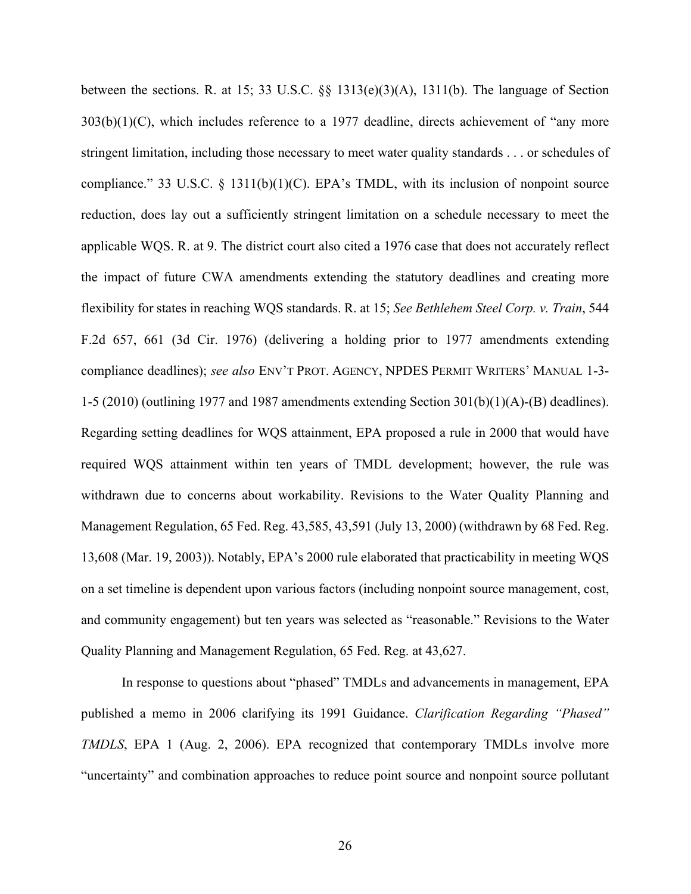between the sections. R. at 15; 33 U.S.C. §§ 1313(e)(3)(A), 1311(b). The language of Section  $303(b)(1)(C)$ , which includes reference to a 1977 deadline, directs achievement of "any more" stringent limitation, including those necessary to meet water quality standards . . . or schedules of compliance." 33 U.S.C.  $\S$  1311(b)(1)(C). EPA's TMDL, with its inclusion of nonpoint source reduction, does lay out a sufficiently stringent limitation on a schedule necessary to meet the applicable WQS. R. at 9. The district court also cited a 1976 case that does not accurately reflect the impact of future CWA amendments extending the statutory deadlines and creating more flexibility for states in reaching WQS standards. R. at 15; *See Bethlehem Steel Corp. v. Train*, 544 F.2d 657, 661 (3d Cir. 1976) (delivering a holding prior to 1977 amendments extending compliance deadlines); *see also* ENV'T PROT. AGENCY, NPDES PERMIT WRITERS' MANUAL 1-3- 1-5 (2010) (outlining 1977 and 1987 amendments extending Section  $301(b)(1)(A)$ -(B) deadlines). Regarding setting deadlines for WQS attainment, EPA proposed a rule in 2000 that would have required WQS attainment within ten years of TMDL development; however, the rule was withdrawn due to concerns about workability. Revisions to the Water Quality Planning and Management Regulation, 65 Fed. Reg. 43,585, 43,591 (July 13, 2000) (withdrawn by 68 Fed. Reg. 13,608 (Mar. 19, 2003)). Notably, EPA's 2000 rule elaborated that practicability in meeting WQS on a set timeline is dependent upon various factors (including nonpoint source management, cost, and community engagement) but ten years was selected as "reasonable." Revisions to the Water Quality Planning and Management Regulation, 65 Fed. Reg. at 43,627.

In response to questions about "phased" TMDLs and advancements in management, EPA published a memo in 2006 clarifying its 1991 Guidance. *Clarification Regarding "Phased" TMDLS*, EPA 1 (Aug. 2, 2006). EPA recognized that contemporary TMDLs involve more "uncertainty" and combination approaches to reduce point source and nonpoint source pollutant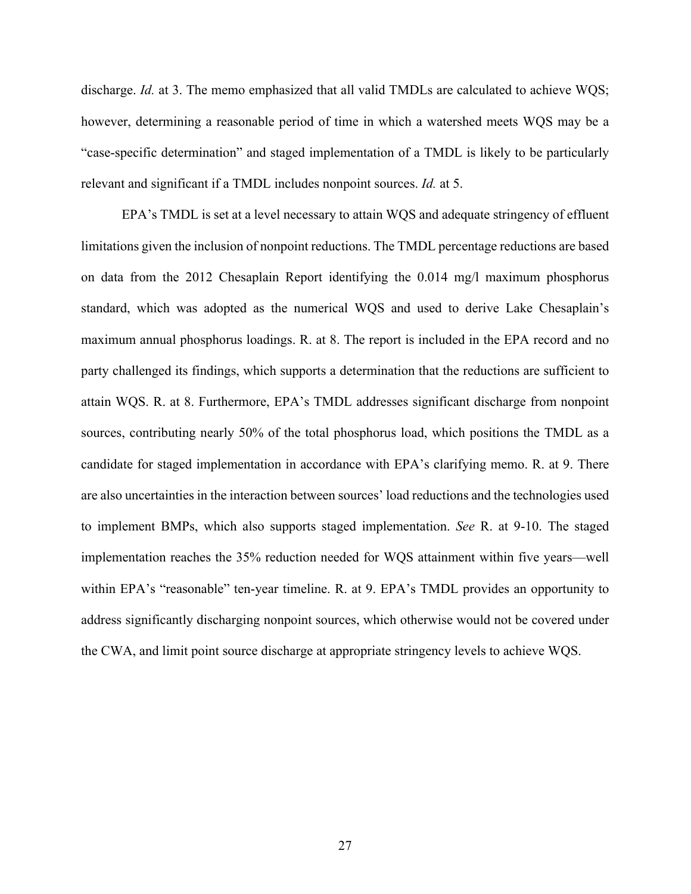discharge. *Id.* at 3. The memo emphasized that all valid TMDLs are calculated to achieve WQS; however, determining a reasonable period of time in which a watershed meets WQS may be a "case-specific determination" and staged implementation of a TMDL is likely to be particularly relevant and significant if a TMDL includes nonpoint sources. *Id.* at 5.

EPA's TMDL is set at a level necessary to attain WQS and adequate stringency of effluent limitations given the inclusion of nonpoint reductions. The TMDL percentage reductions are based on data from the 2012 Chesaplain Report identifying the 0.014 mg/l maximum phosphorus standard, which was adopted as the numerical WQS and used to derive Lake Chesaplain's maximum annual phosphorus loadings. R. at 8. The report is included in the EPA record and no party challenged its findings, which supports a determination that the reductions are sufficient to attain WQS. R. at 8. Furthermore, EPA's TMDL addresses significant discharge from nonpoint sources, contributing nearly 50% of the total phosphorus load, which positions the TMDL as a candidate for staged implementation in accordance with EPA's clarifying memo. R. at 9. There are also uncertainties in the interaction between sources' load reductions and the technologies used to implement BMPs, which also supports staged implementation. *See* R. at 9-10. The staged implementation reaches the 35% reduction needed for WQS attainment within five years—well within EPA's "reasonable" ten-year timeline. R. at 9. EPA's TMDL provides an opportunity to address significantly discharging nonpoint sources, which otherwise would not be covered under the CWA, and limit point source discharge at appropriate stringency levels to achieve WQS.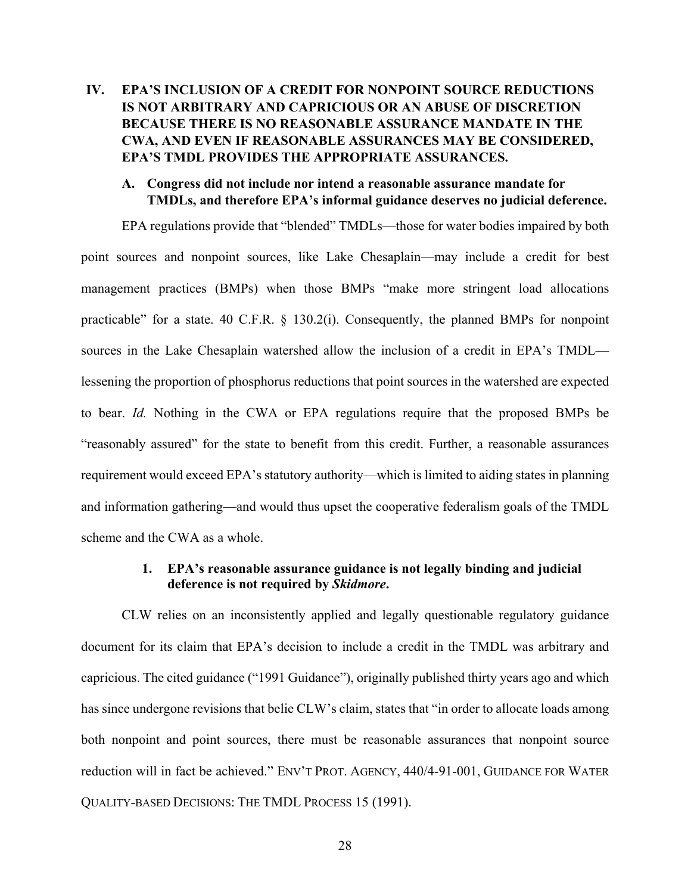## **IV. EPA'S INCLUSION OF A CREDIT FOR NONPOINT SOURCE REDUCTIONS IS NOT ARBITRARY AND CAPRICIOUS OR AN ABUSE OF DISCRETION BECAUSE THERE IS NO REASONABLE ASSURANCE MANDATE IN THE CWA, AND EVEN IF REASONABLE ASSURANCES MAY BE CONSIDERED, EPA'S TMDL PROVIDES THE APPROPRIATE ASSURANCES.**

### **A. Congress did not include nor intend a reasonable assurance mandate for TMDLs, and therefore EPA's informal guidance deserves no judicial deference.**

EPA regulations provide that "blended" TMDLs—those for water bodies impaired by both point sources and nonpoint sources, like Lake Chesaplain—may include a credit for best management practices (BMPs) when those BMPs "make more stringent load allocations practicable" for a state. 40 C.F.R. § 130.2(i). Consequently, the planned BMPs for nonpoint sources in the Lake Chesaplain watershed allow the inclusion of a credit in EPA's TMDL lessening the proportion of phosphorus reductions that point sources in the watershed are expected to bear. *Id.* Nothing in the CWA or EPA regulations require that the proposed BMPs be "reasonably assured" for the state to benefit from this credit. Further, a reasonable assurances requirement would exceed EPA's statutory authority—which is limited to aiding states in planning and information gathering—and would thus upset the cooperative federalism goals of the TMDL scheme and the CWA as a whole.

### **1. EPA's reasonable assurance guidance is not legally binding and judicial deference is not required by** *Skidmore***.**

CLW relies on an inconsistently applied and legally questionable regulatory guidance document for its claim that EPA's decision to include a credit in the TMDL was arbitrary and capricious. The cited guidance ("1991 Guidance"), originally published thirty years ago and which has since undergone revisions that belie CLW's claim, states that "in order to allocate loads among both nonpoint and point sources, there must be reasonable assurances that nonpoint source reduction will in fact be achieved." ENV'T PROT. AGENCY, 440/4-91-001, GUIDANCE FOR WATER QUALITY-BASED DECISIONS: THE TMDL PROCESS 15 (1991).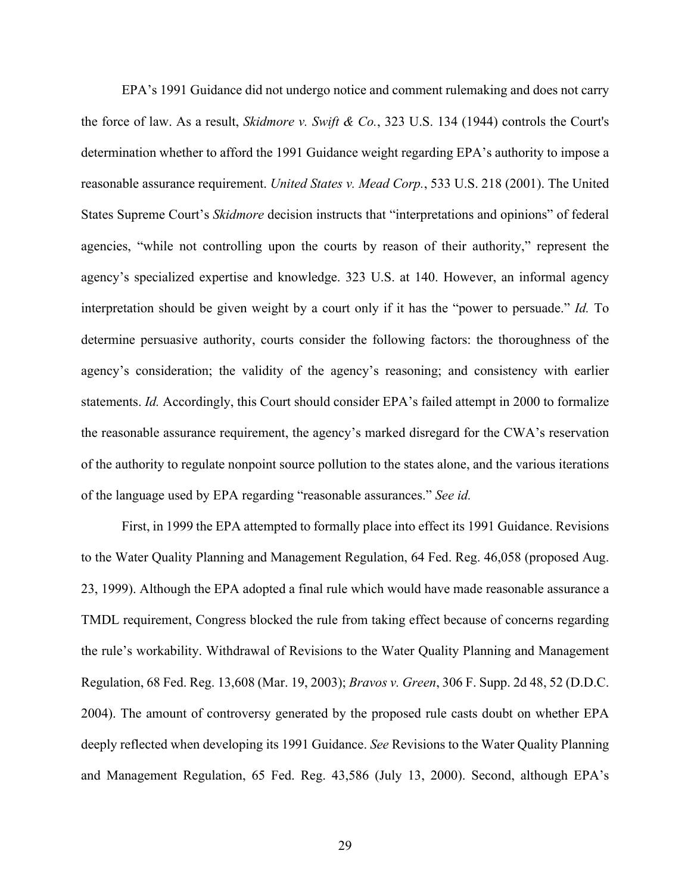EPA's 1991 Guidance did not undergo notice and comment rulemaking and does not carry the force of law. As a result, *Skidmore v. Swift & Co.*, 323 U.S. 134 (1944) controls the Court's determination whether to afford the 1991 Guidance weight regarding EPA's authority to impose a reasonable assurance requirement. *United States v. Mead Corp.*, 533 U.S. 218 (2001). The United States Supreme Court's *Skidmore* decision instructs that "interpretations and opinions" of federal agencies, "while not controlling upon the courts by reason of their authority," represent the agency's specialized expertise and knowledge. 323 U.S. at 140. However, an informal agency interpretation should be given weight by a court only if it has the "power to persuade." *Id.* To determine persuasive authority, courts consider the following factors: the thoroughness of the agency's consideration; the validity of the agency's reasoning; and consistency with earlier statements. *Id.* Accordingly, this Court should consider EPA's failed attempt in 2000 to formalize the reasonable assurance requirement, the agency's marked disregard for the CWA's reservation of the authority to regulate nonpoint source pollution to the states alone, and the various iterations of the language used by EPA regarding "reasonable assurances." *See id.*

First, in 1999 the EPA attempted to formally place into effect its 1991 Guidance. Revisions to the Water Quality Planning and Management Regulation, 64 Fed. Reg. 46,058 (proposed Aug. 23, 1999). Although the EPA adopted a final rule which would have made reasonable assurance a TMDL requirement, Congress blocked the rule from taking effect because of concerns regarding the rule's workability. Withdrawal of Revisions to the Water Quality Planning and Management Regulation, 68 Fed. Reg. 13,608 (Mar. 19, 2003); *Bravos v. Green*, 306 F. Supp. 2d 48, 52 (D.D.C. 2004). The amount of controversy generated by the proposed rule casts doubt on whether EPA deeply reflected when developing its 1991 Guidance. *See* Revisions to the Water Quality Planning and Management Regulation, 65 Fed. Reg. 43,586 (July 13, 2000). Second, although EPA's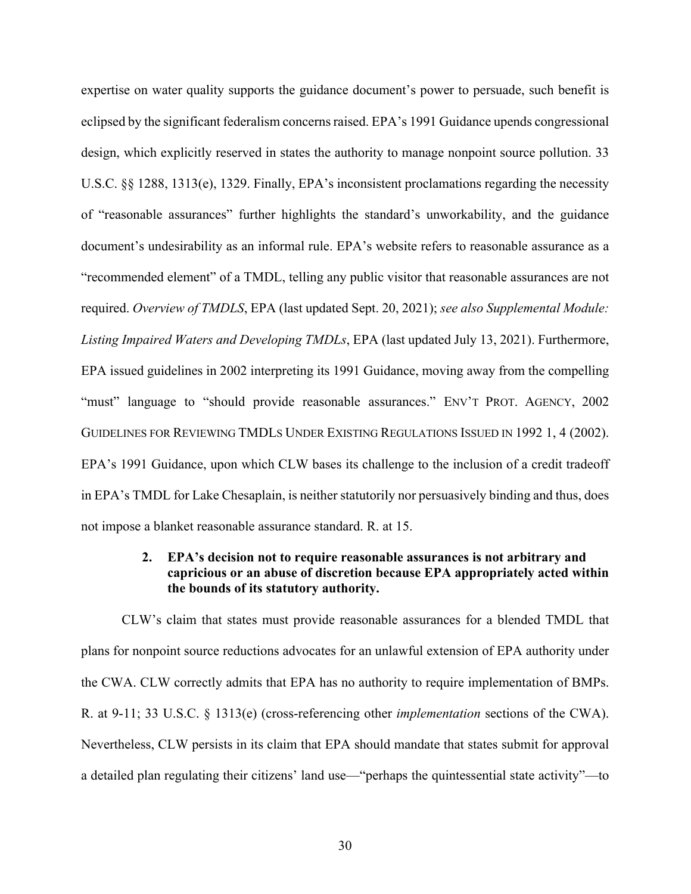expertise on water quality supports the guidance document's power to persuade, such benefit is eclipsed by the significant federalism concerns raised. EPA's 1991 Guidance upends congressional design, which explicitly reserved in states the authority to manage nonpoint source pollution. 33 U.S.C. §§ 1288, 1313(e), 1329. Finally, EPA's inconsistent proclamations regarding the necessity of "reasonable assurances" further highlights the standard's unworkability, and the guidance document's undesirability as an informal rule. EPA's website refers to reasonable assurance as a "recommended element" of a TMDL, telling any public visitor that reasonable assurances are not required. *Overview of TMDLS*, EPA (last updated Sept. 20, 2021); *see also Supplemental Module: Listing Impaired Waters and Developing TMDLs*, EPA (last updated July 13, 2021). Furthermore, EPA issued guidelines in 2002 interpreting its 1991 Guidance, moving away from the compelling "must" language to "should provide reasonable assurances." ENV'T PROT. AGENCY, 2002 GUIDELINES FOR REVIEWING TMDLS UNDER EXISTING REGULATIONS ISSUED IN 1992 1, 4 (2002). EPA's 1991 Guidance, upon which CLW bases its challenge to the inclusion of a credit tradeoff in EPA's TMDL for Lake Chesaplain, is neither statutorily nor persuasively binding and thus, does not impose a blanket reasonable assurance standard. R. at 15.

### **2. EPA's decision not to require reasonable assurances is not arbitrary and capricious or an abuse of discretion because EPA appropriately acted within the bounds of its statutory authority.**

CLW's claim that states must provide reasonable assurances for a blended TMDL that plans for nonpoint source reductions advocates for an unlawful extension of EPA authority under the CWA. CLW correctly admits that EPA has no authority to require implementation of BMPs. R. at 9-11; 33 U.S.C. § 1313(e) (cross-referencing other *implementation* sections of the CWA). Nevertheless, CLW persists in its claim that EPA should mandate that states submit for approval a detailed plan regulating their citizens' land use—"perhaps the quintessential state activity"—to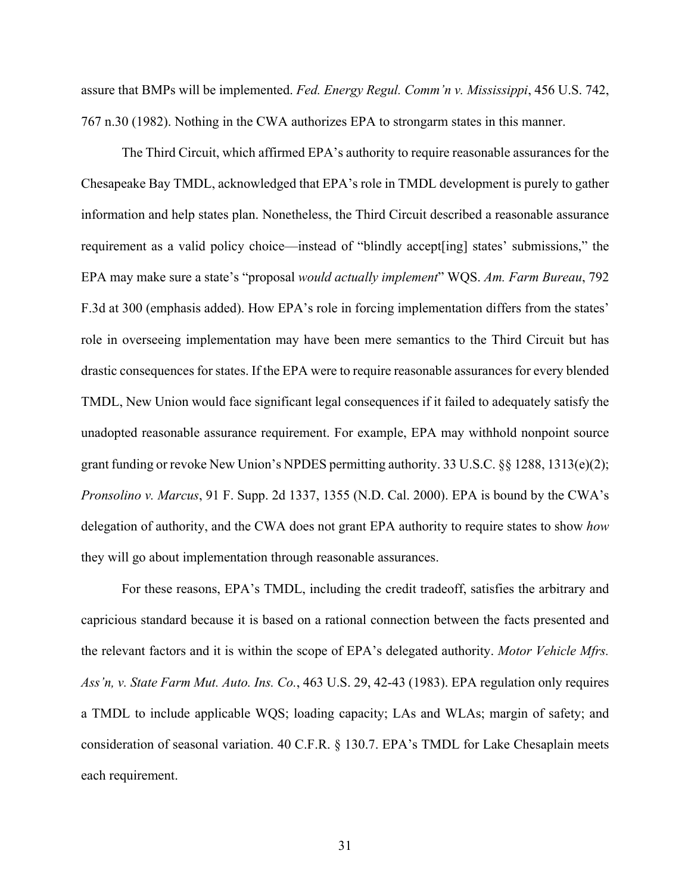assure that BMPs will be implemented. *Fed. Energy Regul. Comm'n v. Mississippi*, 456 U.S. 742, 767 n.30 (1982). Nothing in the CWA authorizes EPA to strongarm states in this manner.

The Third Circuit, which affirmed EPA's authority to require reasonable assurances for the Chesapeake Bay TMDL, acknowledged that EPA's role in TMDL development is purely to gather information and help states plan. Nonetheless, the Third Circuit described a reasonable assurance requirement as a valid policy choice—instead of "blindly accept[ing] states' submissions," the EPA may make sure a state's "proposal *would actually implement*" WQS. *Am. Farm Bureau*, 792 F.3d at 300 (emphasis added). How EPA's role in forcing implementation differs from the states' role in overseeing implementation may have been mere semantics to the Third Circuit but has drastic consequences for states. If the EPA were to require reasonable assurances for every blended TMDL, New Union would face significant legal consequences if it failed to adequately satisfy the unadopted reasonable assurance requirement. For example, EPA may withhold nonpoint source grant funding or revoke New Union's NPDES permitting authority. 33 U.S.C. §§ 1288, 1313(e)(2); *Pronsolino v. Marcus*, 91 F. Supp. 2d 1337, 1355 (N.D. Cal. 2000). EPA is bound by the CWA's delegation of authority, and the CWA does not grant EPA authority to require states to show *how*  they will go about implementation through reasonable assurances.

For these reasons, EPA's TMDL, including the credit tradeoff, satisfies the arbitrary and capricious standard because it is based on a rational connection between the facts presented and the relevant factors and it is within the scope of EPA's delegated authority. *Motor Vehicle Mfrs. Ass'n, v. State Farm Mut. Auto. Ins. Co.*, 463 U.S. 29, 42-43 (1983). EPA regulation only requires a TMDL to include applicable WQS; loading capacity; LAs and WLAs; margin of safety; and consideration of seasonal variation. 40 C.F.R. § 130.7. EPA's TMDL for Lake Chesaplain meets each requirement.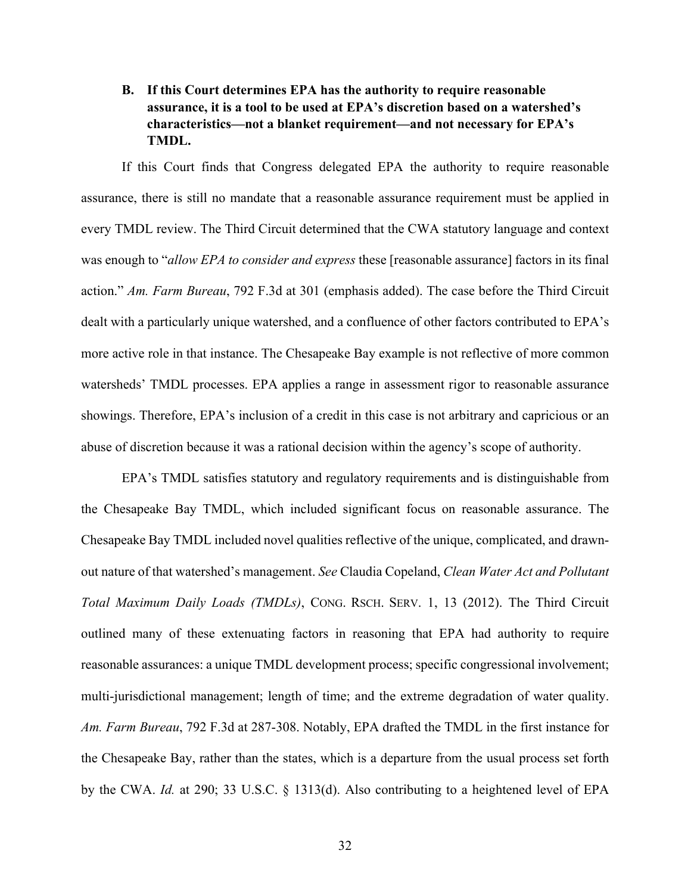## **B. If this Court determines EPA has the authority to require reasonable assurance, it is a tool to be used at EPA's discretion based on a watershed's characteristics—not a blanket requirement—and not necessary for EPA's TMDL.**

If this Court finds that Congress delegated EPA the authority to require reasonable assurance, there is still no mandate that a reasonable assurance requirement must be applied in every TMDL review. The Third Circuit determined that the CWA statutory language and context was enough to "*allow EPA to consider and express* these [reasonable assurance] factors in its final action." *Am. Farm Bureau*, 792 F.3d at 301 (emphasis added). The case before the Third Circuit dealt with a particularly unique watershed, and a confluence of other factors contributed to EPA's more active role in that instance. The Chesapeake Bay example is not reflective of more common watersheds' TMDL processes. EPA applies a range in assessment rigor to reasonable assurance showings. Therefore, EPA's inclusion of a credit in this case is not arbitrary and capricious or an abuse of discretion because it was a rational decision within the agency's scope of authority.

EPA's TMDL satisfies statutory and regulatory requirements and is distinguishable from the Chesapeake Bay TMDL, which included significant focus on reasonable assurance. The Chesapeake Bay TMDL included novel qualities reflective of the unique, complicated, and drawnout nature of that watershed's management. *See* Claudia Copeland, *Clean Water Act and Pollutant Total Maximum Daily Loads (TMDLs)*, CONG. RSCH. SERV. 1, 13 (2012). The Third Circuit outlined many of these extenuating factors in reasoning that EPA had authority to require reasonable assurances: a unique TMDL development process; specific congressional involvement; multi-jurisdictional management; length of time; and the extreme degradation of water quality. *Am. Farm Bureau*, 792 F.3d at 287-308. Notably, EPA drafted the TMDL in the first instance for the Chesapeake Bay, rather than the states, which is a departure from the usual process set forth by the CWA. *Id.* at 290; 33 U.S.C. § 1313(d). Also contributing to a heightened level of EPA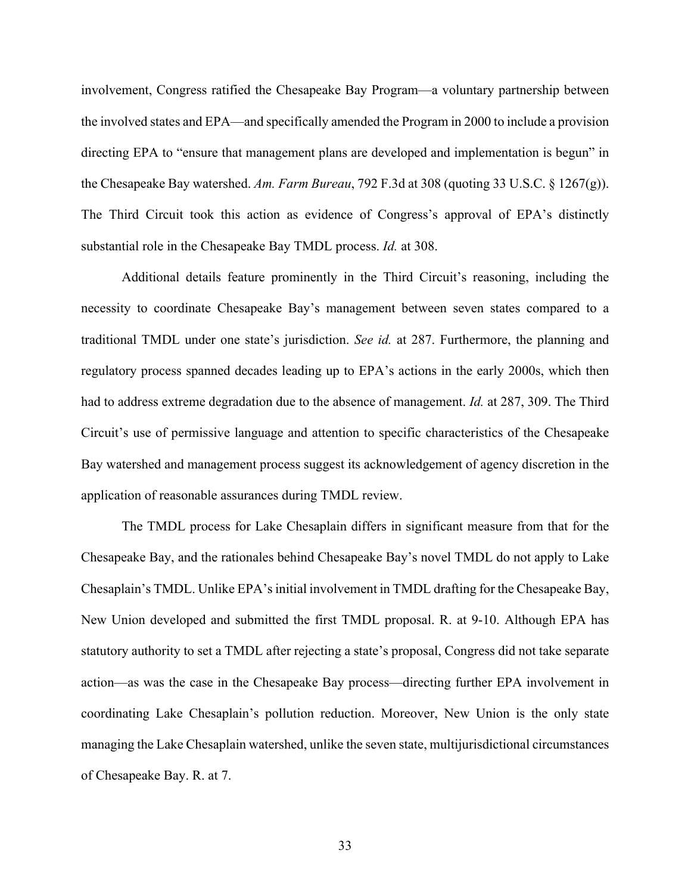involvement, Congress ratified the Chesapeake Bay Program—a voluntary partnership between the involved states and EPA—and specifically amended the Program in 2000 to include a provision directing EPA to "ensure that management plans are developed and implementation is begun" in the Chesapeake Bay watershed. *Am. Farm Bureau*, 792 F.3d at 308 (quoting 33 U.S.C. § 1267(g)). The Third Circuit took this action as evidence of Congress's approval of EPA's distinctly substantial role in the Chesapeake Bay TMDL process. *Id.* at 308.

Additional details feature prominently in the Third Circuit's reasoning, including the necessity to coordinate Chesapeake Bay's management between seven states compared to a traditional TMDL under one state's jurisdiction. *See id.* at 287. Furthermore, the planning and regulatory process spanned decades leading up to EPA's actions in the early 2000s, which then had to address extreme degradation due to the absence of management. *Id.* at 287, 309. The Third Circuit's use of permissive language and attention to specific characteristics of the Chesapeake Bay watershed and management process suggest its acknowledgement of agency discretion in the application of reasonable assurances during TMDL review.

The TMDL process for Lake Chesaplain differs in significant measure from that for the Chesapeake Bay, and the rationales behind Chesapeake Bay's novel TMDL do not apply to Lake Chesaplain's TMDL. Unlike EPA's initial involvement in TMDL drafting for the Chesapeake Bay, New Union developed and submitted the first TMDL proposal. R. at 9-10. Although EPA has statutory authority to set a TMDL after rejecting a state's proposal, Congress did not take separate action—as was the case in the Chesapeake Bay process—directing further EPA involvement in coordinating Lake Chesaplain's pollution reduction. Moreover, New Union is the only state managing the Lake Chesaplain watershed, unlike the seven state, multijurisdictional circumstances of Chesapeake Bay. R. at 7.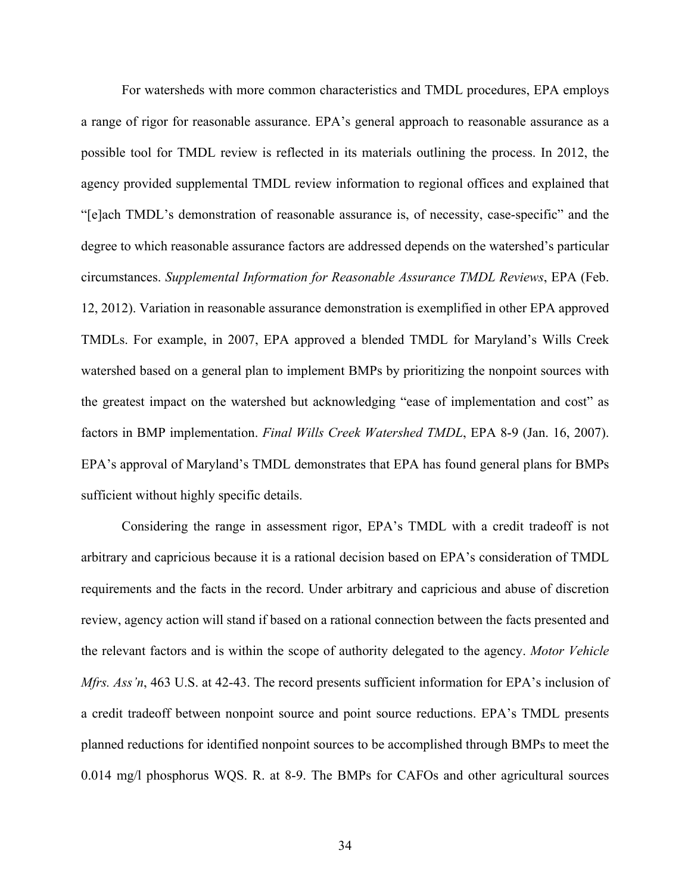For watersheds with more common characteristics and TMDL procedures, EPA employs a range of rigor for reasonable assurance. EPA's general approach to reasonable assurance as a possible tool for TMDL review is reflected in its materials outlining the process. In 2012, the agency provided supplemental TMDL review information to regional offices and explained that "[e]ach TMDL's demonstration of reasonable assurance is, of necessity, case-specific" and the degree to which reasonable assurance factors are addressed depends on the watershed's particular circumstances. *Supplemental Information for Reasonable Assurance TMDL Reviews*, EPA (Feb. 12, 2012). Variation in reasonable assurance demonstration is exemplified in other EPA approved TMDLs. For example, in 2007, EPA approved a blended TMDL for Maryland's Wills Creek watershed based on a general plan to implement BMPs by prioritizing the nonpoint sources with the greatest impact on the watershed but acknowledging "ease of implementation and cost" as factors in BMP implementation. *Final Wills Creek Watershed TMDL*, EPA 8-9 (Jan. 16, 2007). EPA's approval of Maryland's TMDL demonstrates that EPA has found general plans for BMPs sufficient without highly specific details.

Considering the range in assessment rigor, EPA's TMDL with a credit tradeoff is not arbitrary and capricious because it is a rational decision based on EPA's consideration of TMDL requirements and the facts in the record. Under arbitrary and capricious and abuse of discretion review, agency action will stand if based on a rational connection between the facts presented and the relevant factors and is within the scope of authority delegated to the agency. *Motor Vehicle Mfrs. Ass'n*, 463 U.S. at 42-43. The record presents sufficient information for EPA's inclusion of a credit tradeoff between nonpoint source and point source reductions. EPA's TMDL presents planned reductions for identified nonpoint sources to be accomplished through BMPs to meet the 0.014 mg/l phosphorus WQS. R. at 8-9. The BMPs for CAFOs and other agricultural sources